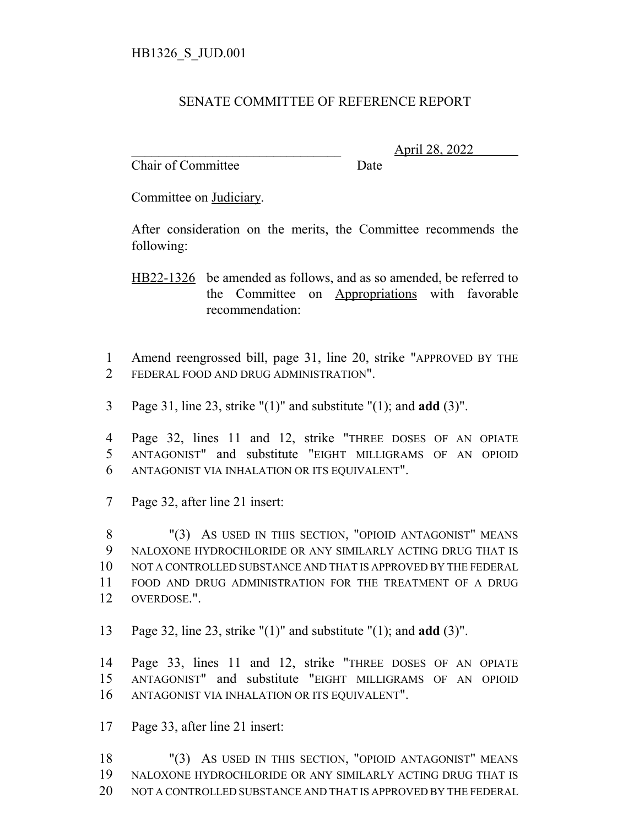## SENATE COMMITTEE OF REFERENCE REPORT

Chair of Committee Date

\_\_\_\_\_\_\_\_\_\_\_\_\_\_\_\_\_\_\_\_\_\_\_\_\_\_\_\_\_\_\_ April 28, 2022

Committee on Judiciary.

After consideration on the merits, the Committee recommends the following:

HB22-1326 be amended as follows, and as so amended, be referred to the Committee on Appropriations with favorable recommendation:

 Amend reengrossed bill, page 31, line 20, strike "APPROVED BY THE FEDERAL FOOD AND DRUG ADMINISTRATION".

Page 31, line 23, strike "(1)" and substitute "(1); and **add** (3)".

 Page 32, lines 11 and 12, strike "THREE DOSES OF AN OPIATE ANTAGONIST" and substitute "EIGHT MILLIGRAMS OF AN OPIOID ANTAGONIST VIA INHALATION OR ITS EQUIVALENT".

Page 32, after line 21 insert:

 "(3) AS USED IN THIS SECTION, "OPIOID ANTAGONIST" MEANS NALOXONE HYDROCHLORIDE OR ANY SIMILARLY ACTING DRUG THAT IS NOT A CONTROLLED SUBSTANCE AND THAT IS APPROVED BY THE FEDERAL FOOD AND DRUG ADMINISTRATION FOR THE TREATMENT OF A DRUG OVERDOSE.".

Page 32, line 23, strike "(1)" and substitute "(1); and **add** (3)".

 Page 33, lines 11 and 12, strike "THREE DOSES OF AN OPIATE ANTAGONIST" and substitute "EIGHT MILLIGRAMS OF AN OPIOID ANTAGONIST VIA INHALATION OR ITS EQUIVALENT".

Page 33, after line 21 insert:

18 "(3) AS USED IN THIS SECTION, "OPIOID ANTAGONIST" MEANS NALOXONE HYDROCHLORIDE OR ANY SIMILARLY ACTING DRUG THAT IS NOT A CONTROLLED SUBSTANCE AND THAT IS APPROVED BY THE FEDERAL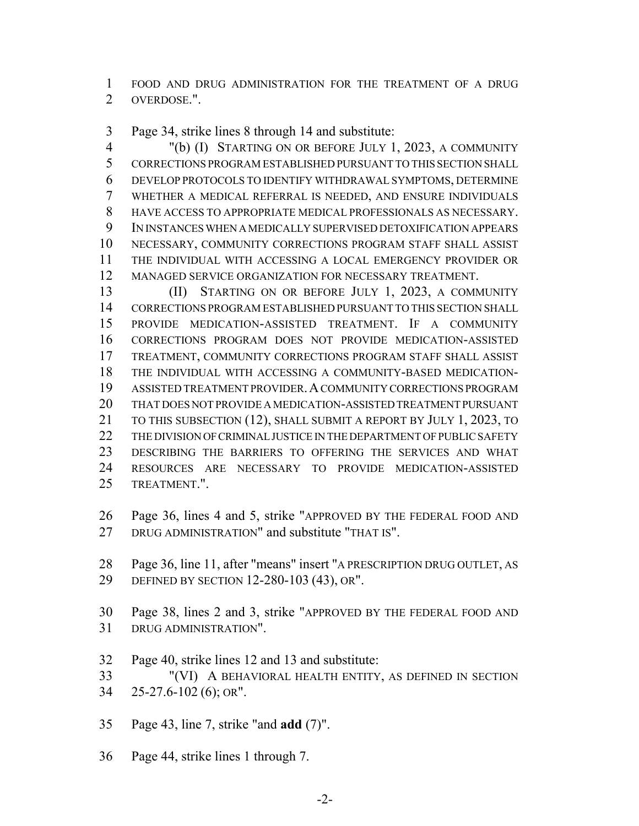FOOD AND DRUG ADMINISTRATION FOR THE TREATMENT OF A DRUG OVERDOSE.".

Page 34, strike lines 8 through 14 and substitute:

 "(b) (I) STARTING ON OR BEFORE JULY 1, 2023, A COMMUNITY CORRECTIONS PROGRAM ESTABLISHED PURSUANT TO THIS SECTION SHALL DEVELOP PROTOCOLS TO IDENTIFY WITHDRAWAL SYMPTOMS, DETERMINE WHETHER A MEDICAL REFERRAL IS NEEDED, AND ENSURE INDIVIDUALS HAVE ACCESS TO APPROPRIATE MEDICAL PROFESSIONALS AS NECESSARY. IN INSTANCES WHEN A MEDICALLY SUPERVISED DETOXIFICATION APPEARS NECESSARY, COMMUNITY CORRECTIONS PROGRAM STAFF SHALL ASSIST THE INDIVIDUAL WITH ACCESSING A LOCAL EMERGENCY PROVIDER OR MANAGED SERVICE ORGANIZATION FOR NECESSARY TREATMENT.

13 (II) STARTING ON OR BEFORE JULY 1, 2023, A COMMUNITY CORRECTIONS PROGRAM ESTABLISHED PURSUANT TO THIS SECTION SHALL PROVIDE MEDICATION-ASSISTED TREATMENT. IF A COMMUNITY CORRECTIONS PROGRAM DOES NOT PROVIDE MEDICATION-ASSISTED TREATMENT, COMMUNITY CORRECTIONS PROGRAM STAFF SHALL ASSIST THE INDIVIDUAL WITH ACCESSING A COMMUNITY-BASED MEDICATION- ASSISTED TREATMENT PROVIDER.A COMMUNITY CORRECTIONS PROGRAM THAT DOES NOT PROVIDE A MEDICATION-ASSISTED TREATMENT PURSUANT 21 TO THIS SUBSECTION (12), SHALL SUBMIT A REPORT BY JULY 1, 2023, TO THE DIVISION OF CRIMINAL JUSTICE IN THE DEPARTMENT OF PUBLIC SAFETY DESCRIBING THE BARRIERS TO OFFERING THE SERVICES AND WHAT RESOURCES ARE NECESSARY TO PROVIDE MEDICATION-ASSISTED TREATMENT.".

 Page 36, lines 4 and 5, strike "APPROVED BY THE FEDERAL FOOD AND DRUG ADMINISTRATION" and substitute "THAT IS".

 Page 36, line 11, after "means" insert "A PRESCRIPTION DRUG OUTLET, AS DEFINED BY SECTION 12-280-103 (43), OR".

- Page 38, lines 2 and 3, strike "APPROVED BY THE FEDERAL FOOD AND DRUG ADMINISTRATION".
- Page 40, strike lines 12 and 13 and substitute:

 "(VI) A BEHAVIORAL HEALTH ENTITY, AS DEFINED IN SECTION 25-27.6-102 (6); OR".

- Page 43, line 7, strike "and **add** (7)".
- Page 44, strike lines 1 through 7.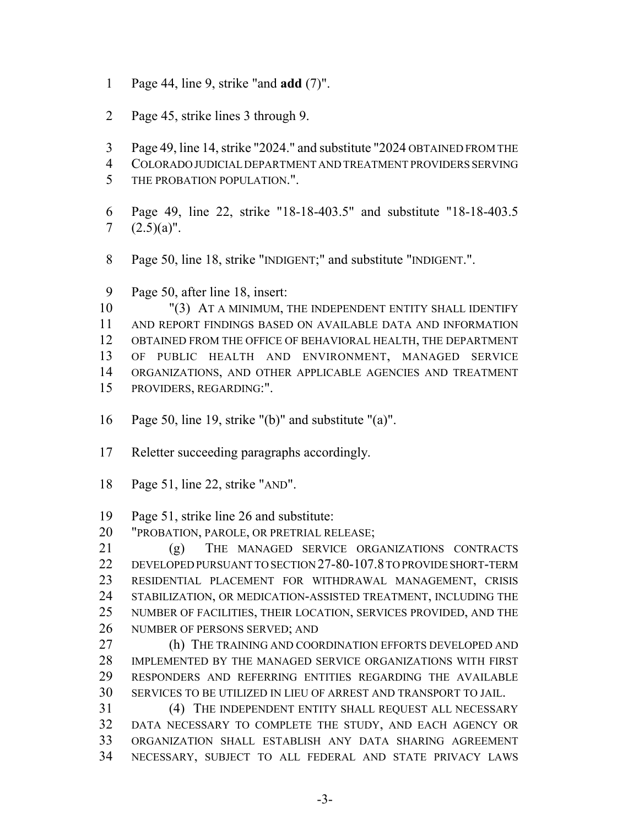- Page 44, line 9, strike "and **add** (7)".
- Page 45, strike lines 3 through 9.
- Page 49, line 14, strike "2024." and substitute "2024 OBTAINED FROM THE
- COLORADO JUDICIAL DEPARTMENT AND TREATMENT PROVIDERS SERVING
- THE PROBATION POPULATION.".
- Page 49, line 22, strike "18-18-403.5" and substitute "18-18-403.5 7  $(2.5)(a)$ ".
- Page 50, line 18, strike "INDIGENT;" and substitute "INDIGENT.".
- Page 50, after line 18, insert:

 "(3) AT A MINIMUM, THE INDEPENDENT ENTITY SHALL IDENTIFY AND REPORT FINDINGS BASED ON AVAILABLE DATA AND INFORMATION OBTAINED FROM THE OFFICE OF BEHAVIORAL HEALTH, THE DEPARTMENT OF PUBLIC HEALTH AND ENVIRONMENT, MANAGED SERVICE ORGANIZATIONS, AND OTHER APPLICABLE AGENCIES AND TREATMENT PROVIDERS, REGARDING:".

- Page 50, line 19, strike "(b)" and substitute "(a)".
- Reletter succeeding paragraphs accordingly.
- Page 51, line 22, strike "AND".

Page 51, strike line 26 and substitute:

"PROBATION, PAROLE, OR PRETRIAL RELEASE;

 (g) THE MANAGED SERVICE ORGANIZATIONS CONTRACTS DEVELOPED PURSUANT TO SECTION 27-80-107.8 TO PROVIDE SHORT-TERM RESIDENTIAL PLACEMENT FOR WITHDRAWAL MANAGEMENT, CRISIS STABILIZATION, OR MEDICATION-ASSISTED TREATMENT, INCLUDING THE NUMBER OF FACILITIES, THEIR LOCATION, SERVICES PROVIDED, AND THE NUMBER OF PERSONS SERVED; AND

27 (h) THE TRAINING AND COORDINATION EFFORTS DEVELOPED AND IMPLEMENTED BY THE MANAGED SERVICE ORGANIZATIONS WITH FIRST RESPONDERS AND REFERRING ENTITIES REGARDING THE AVAILABLE SERVICES TO BE UTILIZED IN LIEU OF ARREST AND TRANSPORT TO JAIL.

 (4) THE INDEPENDENT ENTITY SHALL REQUEST ALL NECESSARY DATA NECESSARY TO COMPLETE THE STUDY, AND EACH AGENCY OR ORGANIZATION SHALL ESTABLISH ANY DATA SHARING AGREEMENT NECESSARY, SUBJECT TO ALL FEDERAL AND STATE PRIVACY LAWS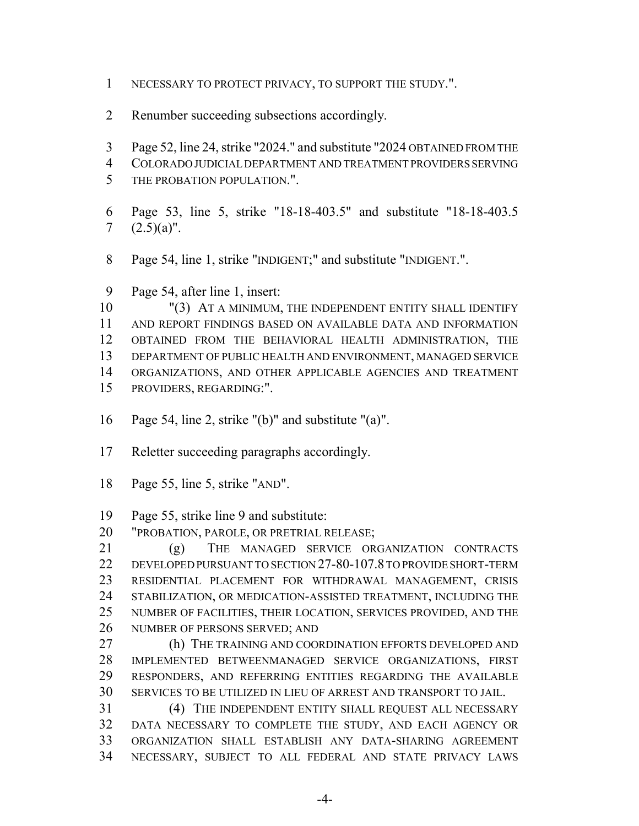- NECESSARY TO PROTECT PRIVACY, TO SUPPORT THE STUDY.".
- Renumber succeeding subsections accordingly.
- Page 52, line 24, strike "2024." and substitute "2024 OBTAINED FROM THE
- COLORADO JUDICIAL DEPARTMENT AND TREATMENT PROVIDERS SERVING
- THE PROBATION POPULATION.".
- Page 53, line 5, strike "18-18-403.5" and substitute "18-18-403.5 7  $(2.5)(a)$ ".
- Page 54, line 1, strike "INDIGENT;" and substitute "INDIGENT.".
- Page 54, after line 1, insert:

10 "(3) AT A MINIMUM, THE INDEPENDENT ENTITY SHALL IDENTIFY AND REPORT FINDINGS BASED ON AVAILABLE DATA AND INFORMATION OBTAINED FROM THE BEHAVIORAL HEALTH ADMINISTRATION, THE DEPARTMENT OF PUBLIC HEALTH AND ENVIRONMENT, MANAGED SERVICE ORGANIZATIONS, AND OTHER APPLICABLE AGENCIES AND TREATMENT PROVIDERS, REGARDING:".

- 
- Page 54, line 2, strike "(b)" and substitute "(a)".
- Reletter succeeding paragraphs accordingly.
- Page 55, line 5, strike "AND".
- Page 55, strike line 9 and substitute:
- "PROBATION, PAROLE, OR PRETRIAL RELEASE;

 (g) THE MANAGED SERVICE ORGANIZATION CONTRACTS DEVELOPED PURSUANT TO SECTION 27-80-107.8 TO PROVIDE SHORT-TERM RESIDENTIAL PLACEMENT FOR WITHDRAWAL MANAGEMENT, CRISIS STABILIZATION, OR MEDICATION-ASSISTED TREATMENT, INCLUDING THE NUMBER OF FACILITIES, THEIR LOCATION, SERVICES PROVIDED, AND THE NUMBER OF PERSONS SERVED; AND

 (h) THE TRAINING AND COORDINATION EFFORTS DEVELOPED AND IMPLEMENTED BETWEENMANAGED SERVICE ORGANIZATIONS, FIRST RESPONDERS, AND REFERRING ENTITIES REGARDING THE AVAILABLE SERVICES TO BE UTILIZED IN LIEU OF ARREST AND TRANSPORT TO JAIL.

 (4) THE INDEPENDENT ENTITY SHALL REQUEST ALL NECESSARY DATA NECESSARY TO COMPLETE THE STUDY, AND EACH AGENCY OR ORGANIZATION SHALL ESTABLISH ANY DATA-SHARING AGREEMENT NECESSARY, SUBJECT TO ALL FEDERAL AND STATE PRIVACY LAWS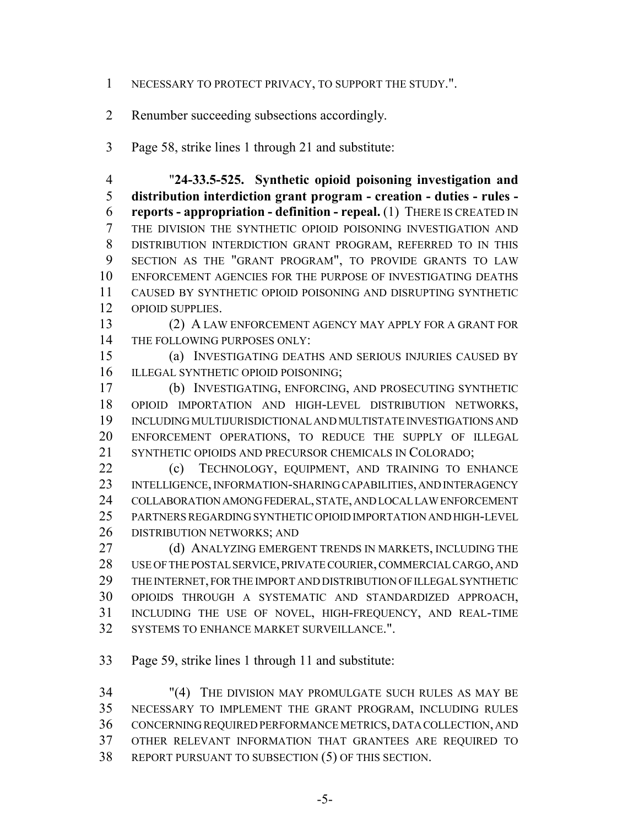- NECESSARY TO PROTECT PRIVACY, TO SUPPORT THE STUDY.".
- Renumber succeeding subsections accordingly.
- Page 58, strike lines 1 through 21 and substitute:

 "**24-33.5-525. Synthetic opioid poisoning investigation and distribution interdiction grant program - creation - duties - rules - reports - appropriation - definition - repeal.** (1) THERE IS CREATED IN THE DIVISION THE SYNTHETIC OPIOID POISONING INVESTIGATION AND DISTRIBUTION INTERDICTION GRANT PROGRAM, REFERRED TO IN THIS SECTION AS THE "GRANT PROGRAM", TO PROVIDE GRANTS TO LAW ENFORCEMENT AGENCIES FOR THE PURPOSE OF INVESTIGATING DEATHS CAUSED BY SYNTHETIC OPIOID POISONING AND DISRUPTING SYNTHETIC OPIOID SUPPLIES.

 (2) A LAW ENFORCEMENT AGENCY MAY APPLY FOR A GRANT FOR 14 THE FOLLOWING PURPOSES ONLY:

 (a) INVESTIGATING DEATHS AND SERIOUS INJURIES CAUSED BY 16 ILLEGAL SYNTHETIC OPIOID POISONING;

 (b) INVESTIGATING, ENFORCING, AND PROSECUTING SYNTHETIC OPIOID IMPORTATION AND HIGH-LEVEL DISTRIBUTION NETWORKS, INCLUDING MULTIJURISDICTIONAL AND MULTISTATE INVESTIGATIONS AND ENFORCEMENT OPERATIONS, TO REDUCE THE SUPPLY OF ILLEGAL SYNTHETIC OPIOIDS AND PRECURSOR CHEMICALS IN COLORADO;

22 (c) TECHNOLOGY, EQUIPMENT, AND TRAINING TO ENHANCE INTELLIGENCE, INFORMATION-SHARING CAPABILITIES, AND INTERAGENCY COLLABORATION AMONG FEDERAL, STATE, AND LOCAL LAW ENFORCEMENT PARTNERS REGARDING SYNTHETIC OPIOID IMPORTATION AND HIGH-LEVEL DISTRIBUTION NETWORKS; AND

27 (d) ANALYZING EMERGENT TRENDS IN MARKETS, INCLUDING THE USE OF THE POSTAL SERVICE, PRIVATE COURIER, COMMERCIAL CARGO, AND THE INTERNET, FOR THE IMPORT AND DISTRIBUTION OF ILLEGAL SYNTHETIC OPIOIDS THROUGH A SYSTEMATIC AND STANDARDIZED APPROACH, INCLUDING THE USE OF NOVEL, HIGH-FREQUENCY, AND REAL-TIME SYSTEMS TO ENHANCE MARKET SURVEILLANCE.".

Page 59, strike lines 1 through 11 and substitute:

 "(4) THE DIVISION MAY PROMULGATE SUCH RULES AS MAY BE NECESSARY TO IMPLEMENT THE GRANT PROGRAM, INCLUDING RULES CONCERNING REQUIRED PERFORMANCE METRICS, DATA COLLECTION, AND OTHER RELEVANT INFORMATION THAT GRANTEES ARE REQUIRED TO REPORT PURSUANT TO SUBSECTION (5) OF THIS SECTION.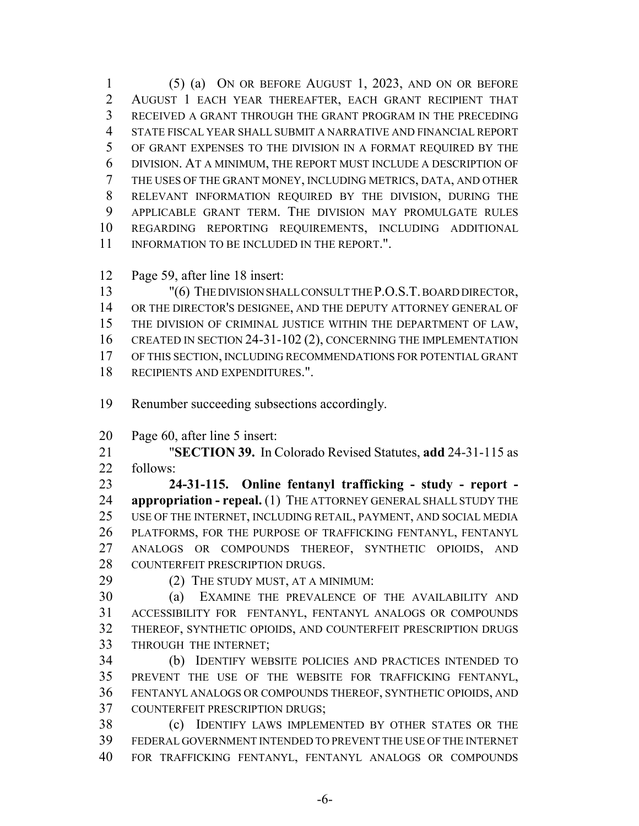(5) (a) ON OR BEFORE AUGUST 1, 2023, AND ON OR BEFORE AUGUST 1 EACH YEAR THEREAFTER, EACH GRANT RECIPIENT THAT RECEIVED A GRANT THROUGH THE GRANT PROGRAM IN THE PRECEDING STATE FISCAL YEAR SHALL SUBMIT A NARRATIVE AND FINANCIAL REPORT OF GRANT EXPENSES TO THE DIVISION IN A FORMAT REQUIRED BY THE DIVISION. AT A MINIMUM, THE REPORT MUST INCLUDE A DESCRIPTION OF THE USES OF THE GRANT MONEY, INCLUDING METRICS, DATA, AND OTHER RELEVANT INFORMATION REQUIRED BY THE DIVISION, DURING THE APPLICABLE GRANT TERM. THE DIVISION MAY PROMULGATE RULES REGARDING REPORTING REQUIREMENTS, INCLUDING ADDITIONAL 11 INFORMATION TO BE INCLUDED IN THE REPORT.".

Page 59, after line 18 insert:

13 "(6) THE DIVISION SHALL CONSULT THE P.O.S.T. BOARD DIRECTOR, OR THE DIRECTOR'S DESIGNEE, AND THE DEPUTY ATTORNEY GENERAL OF THE DIVISION OF CRIMINAL JUSTICE WITHIN THE DEPARTMENT OF LAW, 16 CREATED IN SECTION 24-31-102 (2), CONCERNING THE IMPLEMENTATION OF THIS SECTION, INCLUDING RECOMMENDATIONS FOR POTENTIAL GRANT RECIPIENTS AND EXPENDITURES.".

- Renumber succeeding subsections accordingly.
- Page 60, after line 5 insert:

 "**SECTION 39.** In Colorado Revised Statutes, **add** 24-31-115 as follows:

 **24-31-115. Online fentanyl trafficking - study - report - appropriation - repeal.** (1) THE ATTORNEY GENERAL SHALL STUDY THE USE OF THE INTERNET, INCLUDING RETAIL, PAYMENT, AND SOCIAL MEDIA PLATFORMS, FOR THE PURPOSE OF TRAFFICKING FENTANYL, FENTANYL ANALOGS OR COMPOUNDS THEREOF, SYNTHETIC OPIOIDS, AND 28 COUNTERFEIT PRESCRIPTION DRUGS.

29 (2) THE STUDY MUST, AT A MINIMUM:

 (a) EXAMINE THE PREVALENCE OF THE AVAILABILITY AND ACCESSIBILITY FOR FENTANYL, FENTANYL ANALOGS OR COMPOUNDS THEREOF, SYNTHETIC OPIOIDS, AND COUNTERFEIT PRESCRIPTION DRUGS THROUGH THE INTERNET;

 (b) IDENTIFY WEBSITE POLICIES AND PRACTICES INTENDED TO PREVENT THE USE OF THE WEBSITE FOR TRAFFICKING FENTANYL, FENTANYL ANALOGS OR COMPOUNDS THEREOF, SYNTHETIC OPIOIDS, AND COUNTERFEIT PRESCRIPTION DRUGS;

 (c) IDENTIFY LAWS IMPLEMENTED BY OTHER STATES OR THE FEDERAL GOVERNMENT INTENDED TO PREVENT THE USE OF THE INTERNET FOR TRAFFICKING FENTANYL, FENTANYL ANALOGS OR COMPOUNDS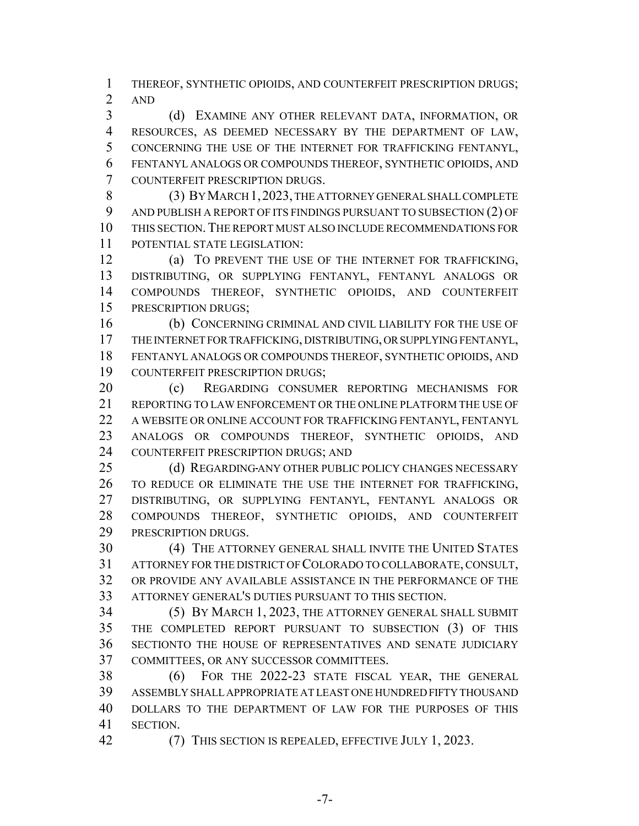THEREOF, SYNTHETIC OPIOIDS, AND COUNTERFEIT PRESCRIPTION DRUGS; AND

 (d) EXAMINE ANY OTHER RELEVANT DATA, INFORMATION, OR RESOURCES, AS DEEMED NECESSARY BY THE DEPARTMENT OF LAW, CONCERNING THE USE OF THE INTERNET FOR TRAFFICKING FENTANYL, FENTANYL ANALOGS OR COMPOUNDS THEREOF, SYNTHETIC OPIOIDS, AND COUNTERFEIT PRESCRIPTION DRUGS.

 (3) BY MARCH 1,2023, THE ATTORNEY GENERAL SHALL COMPLETE AND PUBLISH A REPORT OF ITS FINDINGS PURSUANT TO SUBSECTION (2) OF THIS SECTION.THE REPORT MUST ALSO INCLUDE RECOMMENDATIONS FOR POTENTIAL STATE LEGISLATION:

 (a) TO PREVENT THE USE OF THE INTERNET FOR TRAFFICKING, DISTRIBUTING, OR SUPPLYING FENTANYL, FENTANYL ANALOGS OR COMPOUNDS THEREOF, SYNTHETIC OPIOIDS, AND COUNTERFEIT PRESCRIPTION DRUGS;

 (b) CONCERNING CRIMINAL AND CIVIL LIABILITY FOR THE USE OF THE INTERNET FOR TRAFFICKING, DISTRIBUTING, OR SUPPLYING FENTANYL, FENTANYL ANALOGS OR COMPOUNDS THEREOF, SYNTHETIC OPIOIDS, AND COUNTERFEIT PRESCRIPTION DRUGS;

 (c) REGARDING CONSUMER REPORTING MECHANISMS FOR REPORTING TO LAW ENFORCEMENT OR THE ONLINE PLATFORM THE USE OF A WEBSITE OR ONLINE ACCOUNT FOR TRAFFICKING FENTANYL, FENTANYL ANALOGS OR COMPOUNDS THEREOF, SYNTHETIC OPIOIDS, AND COUNTERFEIT PRESCRIPTION DRUGS; AND

25 (d) REGARDING ANY OTHER PUBLIC POLICY CHANGES NECESSARY TO REDUCE OR ELIMINATE THE USE THE INTERNET FOR TRAFFICKING, DISTRIBUTING, OR SUPPLYING FENTANYL, FENTANYL ANALOGS OR COMPOUNDS THEREOF, SYNTHETIC OPIOIDS, AND COUNTERFEIT PRESCRIPTION DRUGS.

 (4) THE ATTORNEY GENERAL SHALL INVITE THE UNITED STATES ATTORNEY FOR THE DISTRICT OF COLORADO TO COLLABORATE, CONSULT, OR PROVIDE ANY AVAILABLE ASSISTANCE IN THE PERFORMANCE OF THE ATTORNEY GENERAL'S DUTIES PURSUANT TO THIS SECTION.

 (5) BY MARCH 1, 2023, THE ATTORNEY GENERAL SHALL SUBMIT THE COMPLETED REPORT PURSUANT TO SUBSECTION (3) OF THIS SECTIONTO THE HOUSE OF REPRESENTATIVES AND SENATE JUDICIARY COMMITTEES, OR ANY SUCCESSOR COMMITTEES.

 (6) FOR THE 2022-23 STATE FISCAL YEAR, THE GENERAL ASSEMBLY SHALL APPROPRIATE AT LEAST ONE HUNDRED FIFTY THOUSAND DOLLARS TO THE DEPARTMENT OF LAW FOR THE PURPOSES OF THIS SECTION.

(7) THIS SECTION IS REPEALED, EFFECTIVE JULY 1, 2023.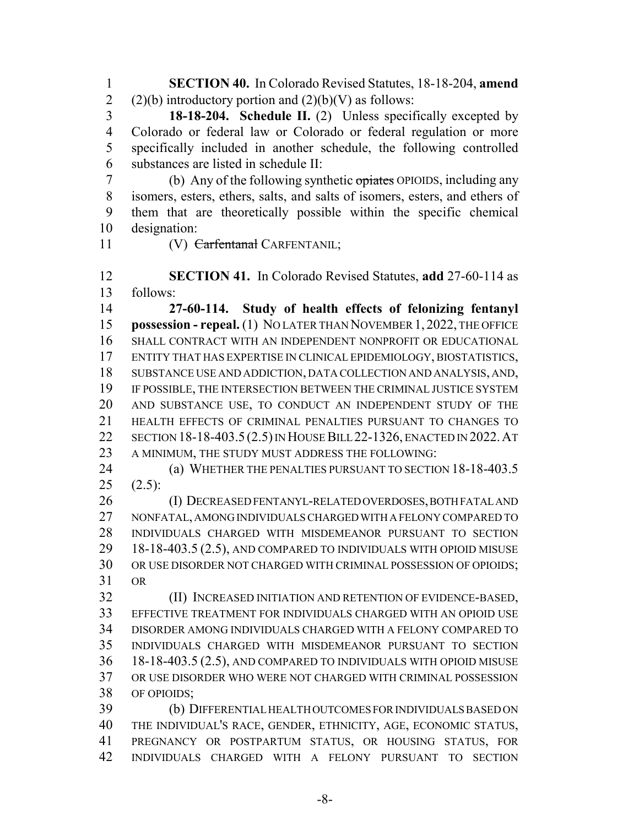**SECTION 40.** In Colorado Revised Statutes, 18-18-204, **amend** 2 (2)(b) introductory portion and  $(2)(b)(V)$  as follows:

 **18-18-204. Schedule II.** (2) Unless specifically excepted by Colorado or federal law or Colorado or federal regulation or more specifically included in another schedule, the following controlled substances are listed in schedule II:

 (b) Any of the following synthetic opiates OPIOIDS, including any isomers, esters, ethers, salts, and salts of isomers, esters, and ethers of them that are theoretically possible within the specific chemical designation:

11 (V) Carfentanal CARFENTANIL;

 **SECTION 41.** In Colorado Revised Statutes, **add** 27-60-114 as follows:

 **27-60-114. Study of health effects of felonizing fentanyl possession - repeal.** (1) NO LATER THAN NOVEMBER 1, 2022, THE OFFICE SHALL CONTRACT WITH AN INDEPENDENT NONPROFIT OR EDUCATIONAL ENTITY THAT HAS EXPERTISE IN CLINICAL EPIDEMIOLOGY, BIOSTATISTICS, SUBSTANCE USE AND ADDICTION, DATA COLLECTION AND ANALYSIS, AND, IF POSSIBLE, THE INTERSECTION BETWEEN THE CRIMINAL JUSTICE SYSTEM AND SUBSTANCE USE, TO CONDUCT AN INDEPENDENT STUDY OF THE HEALTH EFFECTS OF CRIMINAL PENALTIES PURSUANT TO CHANGES TO SECTION 18-18-403.5 (2.5) IN HOUSE BILL 22-1326, ENACTED IN 2022.AT A MINIMUM, THE STUDY MUST ADDRESS THE FOLLOWING:

 (a) WHETHER THE PENALTIES PURSUANT TO SECTION 18-18-403.5  $(2.5)$ :

 (I) DECREASED FENTANYL-RELATED OVERDOSES, BOTH FATAL AND NONFATAL, AMONG INDIVIDUALS CHARGED WITH A FELONY COMPARED TO INDIVIDUALS CHARGED WITH MISDEMEANOR PURSUANT TO SECTION 18-18-403.5 (2.5), AND COMPARED TO INDIVIDUALS WITH OPIOID MISUSE OR USE DISORDER NOT CHARGED WITH CRIMINAL POSSESSION OF OPIOIDS; OR

 (II) INCREASED INITIATION AND RETENTION OF EVIDENCE-BASED, EFFECTIVE TREATMENT FOR INDIVIDUALS CHARGED WITH AN OPIOID USE DISORDER AMONG INDIVIDUALS CHARGED WITH A FELONY COMPARED TO INDIVIDUALS CHARGED WITH MISDEMEANOR PURSUANT TO SECTION 18-18-403.5 (2.5), AND COMPARED TO INDIVIDUALS WITH OPIOID MISUSE OR USE DISORDER WHO WERE NOT CHARGED WITH CRIMINAL POSSESSION OF OPIOIDS;

 (b) DIFFERENTIAL HEALTH OUTCOMES FOR INDIVIDUALS BASED ON THE INDIVIDUAL'S RACE, GENDER, ETHNICITY, AGE, ECONOMIC STATUS, PREGNANCY OR POSTPARTUM STATUS, OR HOUSING STATUS, FOR INDIVIDUALS CHARGED WITH A FELONY PURSUANT TO SECTION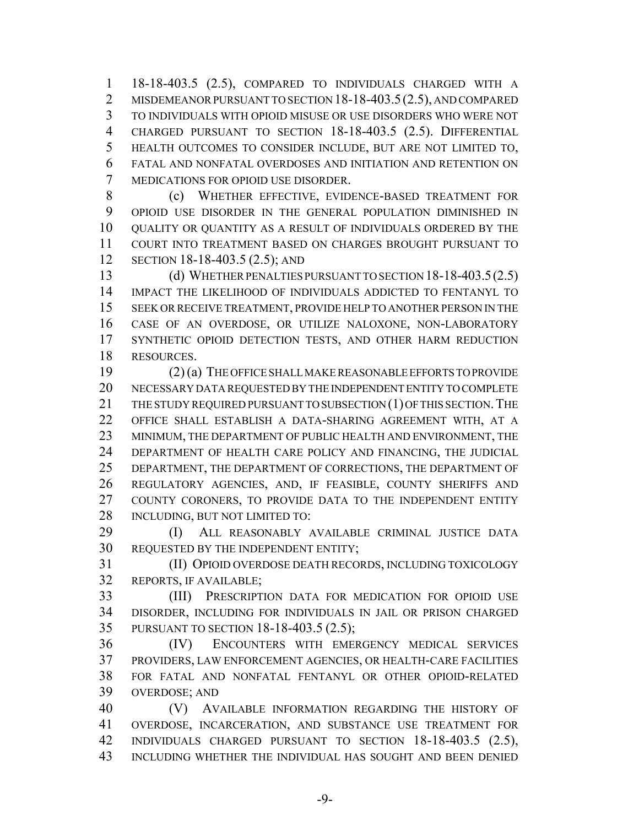18-18-403.5 (2.5), COMPARED TO INDIVIDUALS CHARGED WITH A 2 MISDEMEANOR PURSUANT TO SECTION 18-18-403.5(2.5), AND COMPARED TO INDIVIDUALS WITH OPIOID MISUSE OR USE DISORDERS WHO WERE NOT CHARGED PURSUANT TO SECTION 18-18-403.5 (2.5). DIFFERENTIAL HEALTH OUTCOMES TO CONSIDER INCLUDE, BUT ARE NOT LIMITED TO, FATAL AND NONFATAL OVERDOSES AND INITIATION AND RETENTION ON MEDICATIONS FOR OPIOID USE DISORDER.

 (c) WHETHER EFFECTIVE, EVIDENCE-BASED TREATMENT FOR OPIOID USE DISORDER IN THE GENERAL POPULATION DIMINISHED IN QUALITY OR QUANTITY AS A RESULT OF INDIVIDUALS ORDERED BY THE COURT INTO TREATMENT BASED ON CHARGES BROUGHT PURSUANT TO SECTION 18-18-403.5 (2.5); AND

 (d) WHETHER PENALTIES PURSUANT TO SECTION 18-18-403.5(2.5) IMPACT THE LIKELIHOOD OF INDIVIDUALS ADDICTED TO FENTANYL TO SEEK OR RECEIVE TREATMENT, PROVIDE HELP TO ANOTHER PERSON IN THE CASE OF AN OVERDOSE, OR UTILIZE NALOXONE, NON-LABORATORY SYNTHETIC OPIOID DETECTION TESTS, AND OTHER HARM REDUCTION RESOURCES.

 (2) (a) THE OFFICE SHALL MAKE REASONABLE EFFORTS TO PROVIDE NECESSARY DATA REQUESTED BY THE INDEPENDENT ENTITY TO COMPLETE 21 THE STUDY REQUIRED PURSUANT TO SUBSECTION (1) OF THIS SECTION. THE OFFICE SHALL ESTABLISH A DATA-SHARING AGREEMENT WITH, AT A MINIMUM, THE DEPARTMENT OF PUBLIC HEALTH AND ENVIRONMENT, THE DEPARTMENT OF HEALTH CARE POLICY AND FINANCING, THE JUDICIAL DEPARTMENT, THE DEPARTMENT OF CORRECTIONS, THE DEPARTMENT OF REGULATORY AGENCIES, AND, IF FEASIBLE, COUNTY SHERIFFS AND COUNTY CORONERS, TO PROVIDE DATA TO THE INDEPENDENT ENTITY INCLUDING, BUT NOT LIMITED TO:

 (I) ALL REASONABLY AVAILABLE CRIMINAL JUSTICE DATA REQUESTED BY THE INDEPENDENT ENTITY;

 (II) OPIOID OVERDOSE DEATH RECORDS, INCLUDING TOXICOLOGY REPORTS, IF AVAILABLE;

 (III) PRESCRIPTION DATA FOR MEDICATION FOR OPIOID USE DISORDER, INCLUDING FOR INDIVIDUALS IN JAIL OR PRISON CHARGED PURSUANT TO SECTION 18-18-403.5 (2.5);

 (IV) ENCOUNTERS WITH EMERGENCY MEDICAL SERVICES PROVIDERS, LAW ENFORCEMENT AGENCIES, OR HEALTH-CARE FACILITIES FOR FATAL AND NONFATAL FENTANYL OR OTHER OPIOID-RELATED OVERDOSE; AND

 (V) AVAILABLE INFORMATION REGARDING THE HISTORY OF OVERDOSE, INCARCERATION, AND SUBSTANCE USE TREATMENT FOR INDIVIDUALS CHARGED PURSUANT TO SECTION 18-18-403.5 (2.5), INCLUDING WHETHER THE INDIVIDUAL HAS SOUGHT AND BEEN DENIED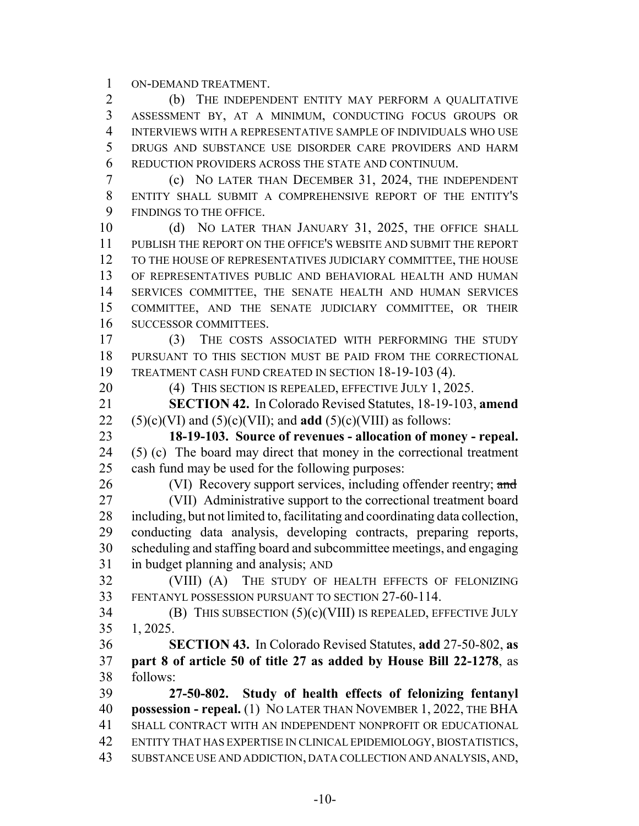ON-DEMAND TREATMENT.

 (b) THE INDEPENDENT ENTITY MAY PERFORM A QUALITATIVE ASSESSMENT BY, AT A MINIMUM, CONDUCTING FOCUS GROUPS OR INTERVIEWS WITH A REPRESENTATIVE SAMPLE OF INDIVIDUALS WHO USE DRUGS AND SUBSTANCE USE DISORDER CARE PROVIDERS AND HARM REDUCTION PROVIDERS ACROSS THE STATE AND CONTINUUM.

 (c) NO LATER THAN DECEMBER 31, 2024, THE INDEPENDENT ENTITY SHALL SUBMIT A COMPREHENSIVE REPORT OF THE ENTITY'S FINDINGS TO THE OFFICE.

10 (d) NO LATER THAN JANUARY 31, 2025, THE OFFICE SHALL PUBLISH THE REPORT ON THE OFFICE'S WEBSITE AND SUBMIT THE REPORT TO THE HOUSE OF REPRESENTATIVES JUDICIARY COMMITTEE, THE HOUSE OF REPRESENTATIVES PUBLIC AND BEHAVIORAL HEALTH AND HUMAN SERVICES COMMITTEE, THE SENATE HEALTH AND HUMAN SERVICES COMMITTEE, AND THE SENATE JUDICIARY COMMITTEE, OR THEIR SUCCESSOR COMMITTEES.

 (3) THE COSTS ASSOCIATED WITH PERFORMING THE STUDY PURSUANT TO THIS SECTION MUST BE PAID FROM THE CORRECTIONAL 19 TREATMENT CASH FUND CREATED IN SECTION 18-19-103 (4).

20 (4) THIS SECTION IS REPEALED, EFFECTIVE JULY 1, 2025.

 **SECTION 42.** In Colorado Revised Statutes, 18-19-103, **amend** (5)(c)(VI) and (5)(c)(VII); and **add** (5)(c)(VIII) as follows:

 **18-19-103. Source of revenues - allocation of money - repeal.** (5) (c) The board may direct that money in the correctional treatment cash fund may be used for the following purposes:

26 (VI) Recovery support services, including offender reentry; and

 (VII) Administrative support to the correctional treatment board including, but not limited to, facilitating and coordinating data collection, conducting data analysis, developing contracts, preparing reports, scheduling and staffing board and subcommittee meetings, and engaging in budget planning and analysis; AND

 (VIII) (A) THE STUDY OF HEALTH EFFECTS OF FELONIZING FENTANYL POSSESSION PURSUANT TO SECTION 27-60-114.

34 (B) THIS SUBSECTION  $(5)(c)(VIII)$  IS REPEALED, EFFECTIVE JULY 1, 2025.

 **SECTION 43.** In Colorado Revised Statutes, **add** 27-50-802, **as part 8 of article 50 of title 27 as added by House Bill 22-1278**, as follows:

 **27-50-802. Study of health effects of felonizing fentanyl possession - repeal.** (1) NO LATER THAN NOVEMBER 1, 2022, THE BHA SHALL CONTRACT WITH AN INDEPENDENT NONPROFIT OR EDUCATIONAL ENTITY THAT HAS EXPERTISE IN CLINICAL EPIDEMIOLOGY, BIOSTATISTICS, SUBSTANCE USE AND ADDICTION, DATA COLLECTION AND ANALYSIS, AND,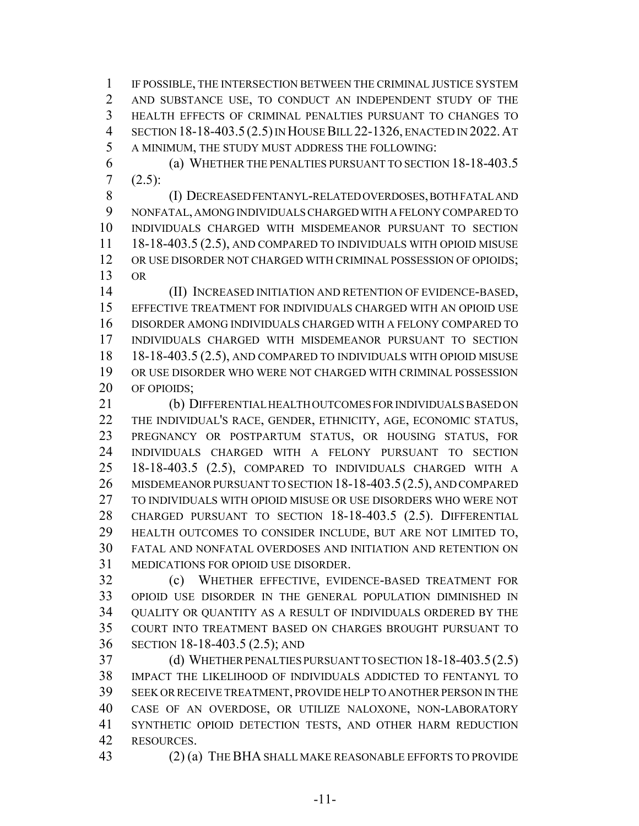IF POSSIBLE, THE INTERSECTION BETWEEN THE CRIMINAL JUSTICE SYSTEM AND SUBSTANCE USE, TO CONDUCT AN INDEPENDENT STUDY OF THE HEALTH EFFECTS OF CRIMINAL PENALTIES PURSUANT TO CHANGES TO SECTION 18-18-403.5 (2.5) IN HOUSE BILL 22-1326, ENACTED IN 2022.AT A MINIMUM, THE STUDY MUST ADDRESS THE FOLLOWING:

 (a) WHETHER THE PENALTIES PURSUANT TO SECTION 18-18-403.5 (2.5):

 (I) DECREASED FENTANYL-RELATED OVERDOSES, BOTH FATAL AND NONFATAL, AMONG INDIVIDUALS CHARGED WITH A FELONY COMPARED TO INDIVIDUALS CHARGED WITH MISDEMEANOR PURSUANT TO SECTION 18-18-403.5 (2.5), AND COMPARED TO INDIVIDUALS WITH OPIOID MISUSE OR USE DISORDER NOT CHARGED WITH CRIMINAL POSSESSION OF OPIOIDS; OR

 (II) INCREASED INITIATION AND RETENTION OF EVIDENCE-BASED, EFFECTIVE TREATMENT FOR INDIVIDUALS CHARGED WITH AN OPIOID USE DISORDER AMONG INDIVIDUALS CHARGED WITH A FELONY COMPARED TO INDIVIDUALS CHARGED WITH MISDEMEANOR PURSUANT TO SECTION 18-18-403.5 (2.5), AND COMPARED TO INDIVIDUALS WITH OPIOID MISUSE OR USE DISORDER WHO WERE NOT CHARGED WITH CRIMINAL POSSESSION 20 OF OPIOIDS;

 (b) DIFFERENTIAL HEALTH OUTCOMES FOR INDIVIDUALS BASED ON THE INDIVIDUAL'S RACE, GENDER, ETHNICITY, AGE, ECONOMIC STATUS, PREGNANCY OR POSTPARTUM STATUS, OR HOUSING STATUS, FOR INDIVIDUALS CHARGED WITH A FELONY PURSUANT TO SECTION 18-18-403.5 (2.5), COMPARED TO INDIVIDUALS CHARGED WITH A MISDEMEANOR PURSUANT TO SECTION 18-18-403.5(2.5), AND COMPARED TO INDIVIDUALS WITH OPIOID MISUSE OR USE DISORDERS WHO WERE NOT CHARGED PURSUANT TO SECTION 18-18-403.5 (2.5). DIFFERENTIAL HEALTH OUTCOMES TO CONSIDER INCLUDE, BUT ARE NOT LIMITED TO, FATAL AND NONFATAL OVERDOSES AND INITIATION AND RETENTION ON MEDICATIONS FOR OPIOID USE DISORDER.

 (c) WHETHER EFFECTIVE, EVIDENCE-BASED TREATMENT FOR OPIOID USE DISORDER IN THE GENERAL POPULATION DIMINISHED IN QUALITY OR QUANTITY AS A RESULT OF INDIVIDUALS ORDERED BY THE COURT INTO TREATMENT BASED ON CHARGES BROUGHT PURSUANT TO SECTION 18-18-403.5 (2.5); AND

 (d) WHETHER PENALTIES PURSUANT TO SECTION 18-18-403.5(2.5) IMPACT THE LIKELIHOOD OF INDIVIDUALS ADDICTED TO FENTANYL TO SEEK OR RECEIVE TREATMENT, PROVIDE HELP TO ANOTHER PERSON IN THE CASE OF AN OVERDOSE, OR UTILIZE NALOXONE, NON-LABORATORY SYNTHETIC OPIOID DETECTION TESTS, AND OTHER HARM REDUCTION RESOURCES.

(2) (a) THE BHA SHALL MAKE REASONABLE EFFORTS TO PROVIDE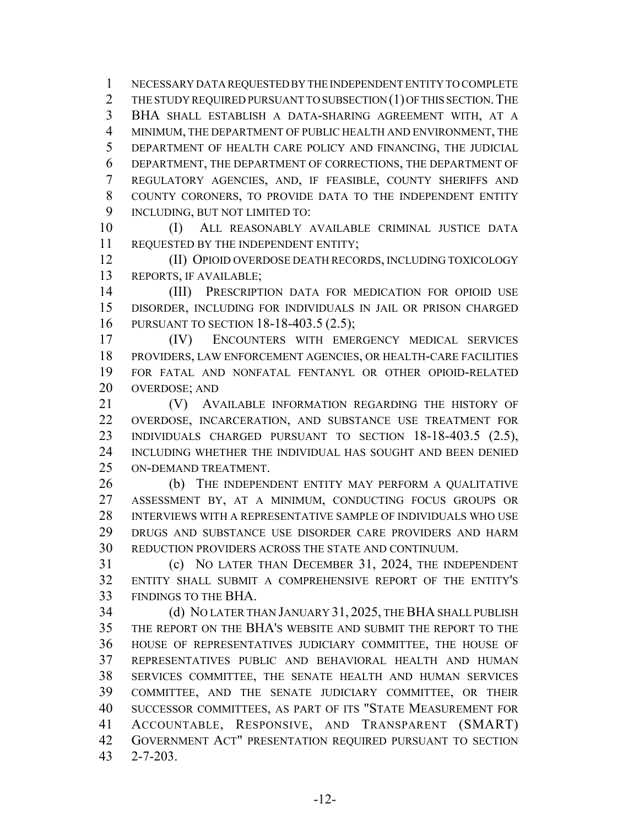NECESSARY DATA REQUESTED BY THE INDEPENDENT ENTITY TO COMPLETE 2 THE STUDY REQUIRED PURSUANT TO SUBSECTION (1) OF THIS SECTION. THE BHA SHALL ESTABLISH A DATA-SHARING AGREEMENT WITH, AT A MINIMUM, THE DEPARTMENT OF PUBLIC HEALTH AND ENVIRONMENT, THE DEPARTMENT OF HEALTH CARE POLICY AND FINANCING, THE JUDICIAL DEPARTMENT, THE DEPARTMENT OF CORRECTIONS, THE DEPARTMENT OF REGULATORY AGENCIES, AND, IF FEASIBLE, COUNTY SHERIFFS AND COUNTY CORONERS, TO PROVIDE DATA TO THE INDEPENDENT ENTITY 9 INCLUDING, BUT NOT LIMITED TO:

 (I) ALL REASONABLY AVAILABLE CRIMINAL JUSTICE DATA REQUESTED BY THE INDEPENDENT ENTITY;

 (II) OPIOID OVERDOSE DEATH RECORDS, INCLUDING TOXICOLOGY REPORTS, IF AVAILABLE;

 (III) PRESCRIPTION DATA FOR MEDICATION FOR OPIOID USE DISORDER, INCLUDING FOR INDIVIDUALS IN JAIL OR PRISON CHARGED PURSUANT TO SECTION 18-18-403.5 (2.5);

 (IV) ENCOUNTERS WITH EMERGENCY MEDICAL SERVICES PROVIDERS, LAW ENFORCEMENT AGENCIES, OR HEALTH-CARE FACILITIES FOR FATAL AND NONFATAL FENTANYL OR OTHER OPIOID-RELATED OVERDOSE; AND

 (V) AVAILABLE INFORMATION REGARDING THE HISTORY OF OVERDOSE, INCARCERATION, AND SUBSTANCE USE TREATMENT FOR INDIVIDUALS CHARGED PURSUANT TO SECTION 18-18-403.5 (2.5), INCLUDING WHETHER THE INDIVIDUAL HAS SOUGHT AND BEEN DENIED ON-DEMAND TREATMENT.

26 (b) THE INDEPENDENT ENTITY MAY PERFORM A QUALITATIVE ASSESSMENT BY, AT A MINIMUM, CONDUCTING FOCUS GROUPS OR INTERVIEWS WITH A REPRESENTATIVE SAMPLE OF INDIVIDUALS WHO USE DRUGS AND SUBSTANCE USE DISORDER CARE PROVIDERS AND HARM REDUCTION PROVIDERS ACROSS THE STATE AND CONTINUUM.

 (c) NO LATER THAN DECEMBER 31, 2024, THE INDEPENDENT ENTITY SHALL SUBMIT A COMPREHENSIVE REPORT OF THE ENTITY'S FINDINGS TO THE BHA.

 (d) NO LATER THAN JANUARY 31, 2025, THE BHA SHALL PUBLISH THE REPORT ON THE BHA'S WEBSITE AND SUBMIT THE REPORT TO THE HOUSE OF REPRESENTATIVES JUDICIARY COMMITTEE, THE HOUSE OF REPRESENTATIVES PUBLIC AND BEHAVIORAL HEALTH AND HUMAN SERVICES COMMITTEE, THE SENATE HEALTH AND HUMAN SERVICES COMMITTEE, AND THE SENATE JUDICIARY COMMITTEE, OR THEIR SUCCESSOR COMMITTEES, AS PART OF ITS "STATE MEASUREMENT FOR ACCOUNTABLE, RESPONSIVE, AND TRANSPARENT (SMART) GOVERNMENT ACT" PRESENTATION REQUIRED PURSUANT TO SECTION 2-7-203.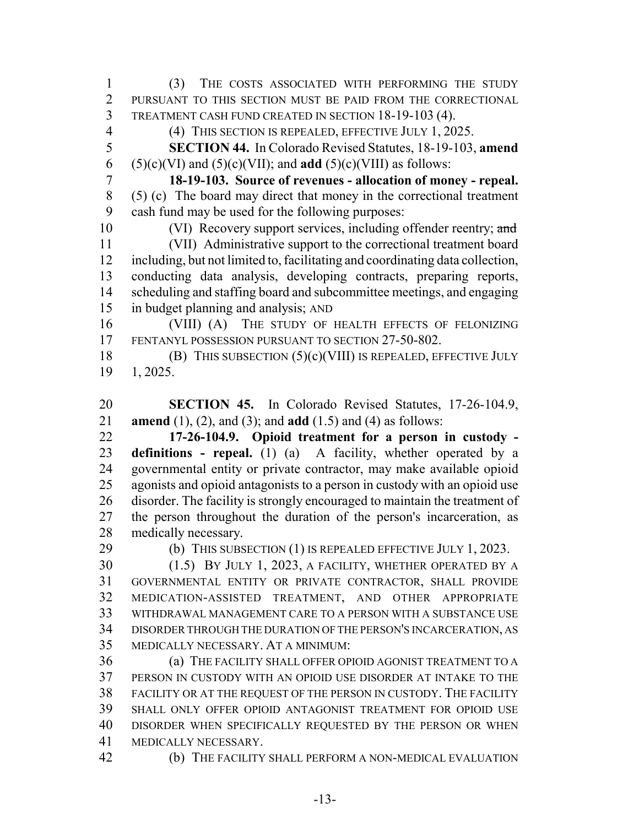(3) THE COSTS ASSOCIATED WITH PERFORMING THE STUDY PURSUANT TO THIS SECTION MUST BE PAID FROM THE CORRECTIONAL TREATMENT CASH FUND CREATED IN SECTION 18-19-103 (4).

(4) THIS SECTION IS REPEALED, EFFECTIVE JULY 1, 2025.

 **SECTION 44.** In Colorado Revised Statutes, 18-19-103, **amend** 6 (5)(c)(VI) and (5)(c)(VII); and **add** (5)(c)(VIII) as follows:

 **18-19-103. Source of revenues - allocation of money - repeal.** (5) (c) The board may direct that money in the correctional treatment cash fund may be used for the following purposes:

10 (VI) Recovery support services, including offender reentry; and (VII) Administrative support to the correctional treatment board including, but not limited to, facilitating and coordinating data collection, conducting data analysis, developing contracts, preparing reports, scheduling and staffing board and subcommittee meetings, and engaging in budget planning and analysis; AND

 (VIII) (A) THE STUDY OF HEALTH EFFECTS OF FELONIZING FENTANYL POSSESSION PURSUANT TO SECTION 27-50-802.

18 (B) THIS SUBSECTION  $(5)(c)(VIII)$  IS REPEALED, EFFECTIVE JULY 1, 2025.

 **SECTION 45.** In Colorado Revised Statutes, 17-26-104.9, **amend** (1), (2), and (3); and **add** (1.5) and (4) as follows:

 **17-26-104.9. Opioid treatment for a person in custody - definitions - repeal.** (1) (a) A facility, whether operated by a governmental entity or private contractor, may make available opioid agonists and opioid antagonists to a person in custody with an opioid use disorder. The facility is strongly encouraged to maintain the treatment of the person throughout the duration of the person's incarceration, as medically necessary.

29 (b) THIS SUBSECTION (1) IS REPEALED EFFECTIVE JULY 1, 2023.

 (1.5) BY JULY 1, 2023, A FACILITY, WHETHER OPERATED BY A GOVERNMENTAL ENTITY OR PRIVATE CONTRACTOR, SHALL PROVIDE MEDICATION-ASSISTED TREATMENT, AND OTHER APPROPRIATE WITHDRAWAL MANAGEMENT CARE TO A PERSON WITH A SUBSTANCE USE DISORDER THROUGH THE DURATION OF THE PERSON'S INCARCERATION, AS MEDICALLY NECESSARY. AT A MINIMUM:

 (a) THE FACILITY SHALL OFFER OPIOID AGONIST TREATMENT TO A PERSON IN CUSTODY WITH AN OPIOID USE DISORDER AT INTAKE TO THE FACILITY OR AT THE REQUEST OF THE PERSON IN CUSTODY. THE FACILITY SHALL ONLY OFFER OPIOID ANTAGONIST TREATMENT FOR OPIOID USE DISORDER WHEN SPECIFICALLY REQUESTED BY THE PERSON OR WHEN MEDICALLY NECESSARY.

(b) THE FACILITY SHALL PERFORM A NON-MEDICAL EVALUATION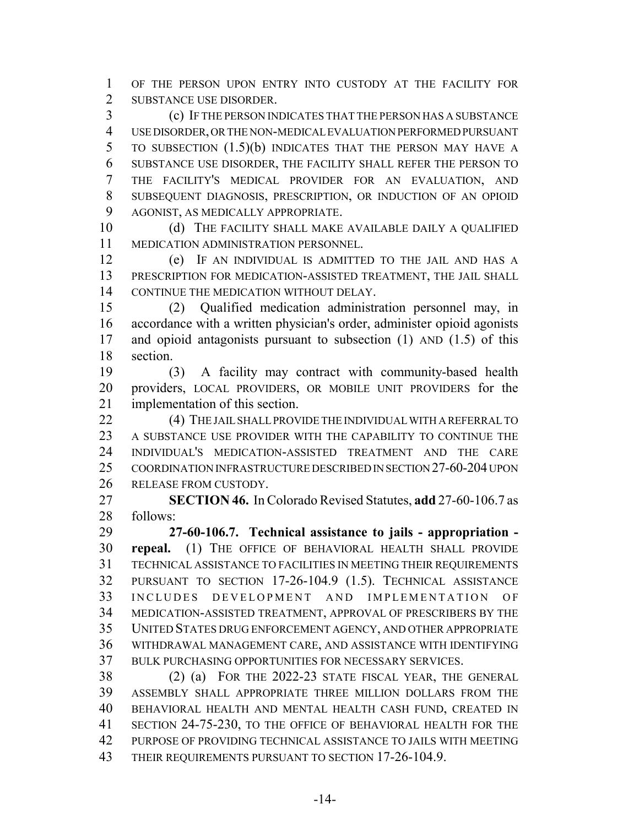OF THE PERSON UPON ENTRY INTO CUSTODY AT THE FACILITY FOR SUBSTANCE USE DISORDER.

 (c) IF THE PERSON INDICATES THAT THE PERSON HAS A SUBSTANCE USE DISORDER, OR THE NON-MEDICAL EVALUATION PERFORMED PURSUANT TO SUBSECTION (1.5)(b) INDICATES THAT THE PERSON MAY HAVE A SUBSTANCE USE DISORDER, THE FACILITY SHALL REFER THE PERSON TO THE FACILITY'S MEDICAL PROVIDER FOR AN EVALUATION, AND SUBSEQUENT DIAGNOSIS, PRESCRIPTION, OR INDUCTION OF AN OPIOID AGONIST, AS MEDICALLY APPROPRIATE.

10 (d) THE FACILITY SHALL MAKE AVAILABLE DAILY A QUALIFIED MEDICATION ADMINISTRATION PERSONNEL.

 (e) IF AN INDIVIDUAL IS ADMITTED TO THE JAIL AND HAS A PRESCRIPTION FOR MEDICATION-ASSISTED TREATMENT, THE JAIL SHALL CONTINUE THE MEDICATION WITHOUT DELAY.

 (2) Qualified medication administration personnel may, in accordance with a written physician's order, administer opioid agonists and opioid antagonists pursuant to subsection (1) AND (1.5) of this section.

 (3) A facility may contract with community-based health providers, LOCAL PROVIDERS, OR MOBILE UNIT PROVIDERS for the implementation of this section.

22 (4) THE JAIL SHALL PROVIDE THE INDIVIDUAL WITH A REFERRAL TO A SUBSTANCE USE PROVIDER WITH THE CAPABILITY TO CONTINUE THE INDIVIDUAL'S MEDICATION-ASSISTED TREATMENT AND THE CARE COORDINATION INFRASTRUCTURE DESCRIBED IN SECTION 27-60-204 UPON RELEASE FROM CUSTODY.

 **SECTION 46.** In Colorado Revised Statutes, **add** 27-60-106.7 as follows:

 **27-60-106.7. Technical assistance to jails - appropriation - repeal.** (1) THE OFFICE OF BEHAVIORAL HEALTH SHALL PROVIDE TECHNICAL ASSISTANCE TO FACILITIES IN MEETING THEIR REQUIREMENTS PURSUANT TO SECTION 17-26-104.9 (1.5). TECHNICAL ASSISTANCE INCLUDES DEVELOPMENT AND IMPLEMENTATION OF MEDICATION-ASSISTED TREATMENT, APPROVAL OF PRESCRIBERS BY THE UNITED STATES DRUG ENFORCEMENT AGENCY, AND OTHER APPROPRIATE WITHDRAWAL MANAGEMENT CARE, AND ASSISTANCE WITH IDENTIFYING BULK PURCHASING OPPORTUNITIES FOR NECESSARY SERVICES.

 (2) (a) FOR THE 2022-23 STATE FISCAL YEAR, THE GENERAL ASSEMBLY SHALL APPROPRIATE THREE MILLION DOLLARS FROM THE BEHAVIORAL HEALTH AND MENTAL HEALTH CASH FUND, CREATED IN SECTION 24-75-230, TO THE OFFICE OF BEHAVIORAL HEALTH FOR THE PURPOSE OF PROVIDING TECHNICAL ASSISTANCE TO JAILS WITH MEETING 43 THEIR REQUIREMENTS PURSUANT TO SECTION 17-26-104.9.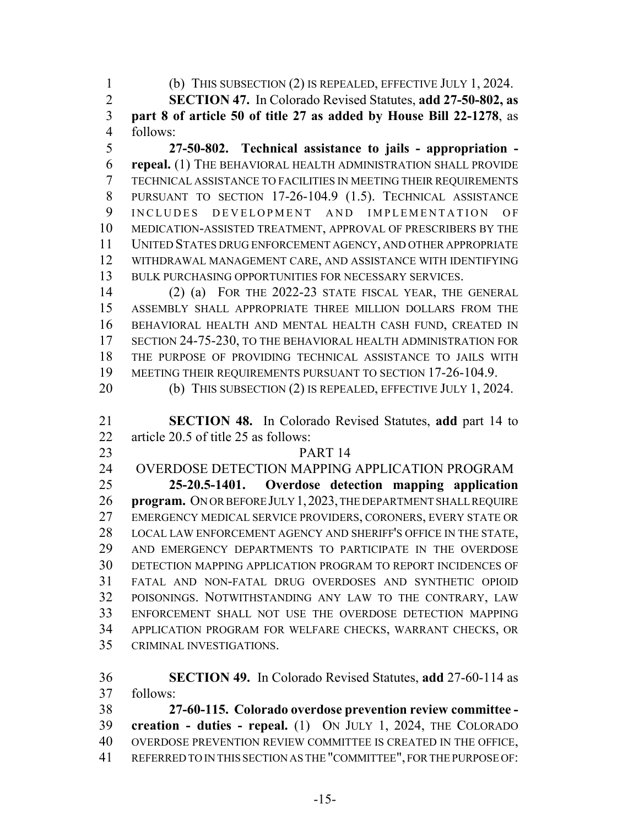(b) THIS SUBSECTION (2) IS REPEALED, EFFECTIVE JULY 1, 2024.

 **SECTION 47.** In Colorado Revised Statutes, **add 27-50-802, as part 8 of article 50 of title 27 as added by House Bill 22-1278**, as follows:

 **27-50-802. Technical assistance to jails - appropriation - repeal.** (1) THE BEHAVIORAL HEALTH ADMINISTRATION SHALL PROVIDE TECHNICAL ASSISTANCE TO FACILITIES IN MEETING THEIR REQUIREMENTS PURSUANT TO SECTION 17-26-104.9 (1.5). TECHNICAL ASSISTANCE INCLUDES DEVELOPMENT AND IMPLEMENTATION OF MEDICATION-ASSISTED TREATMENT, APPROVAL OF PRESCRIBERS BY THE UNITED STATES DRUG ENFORCEMENT AGENCY, AND OTHER APPROPRIATE WITHDRAWAL MANAGEMENT CARE, AND ASSISTANCE WITH IDENTIFYING BULK PURCHASING OPPORTUNITIES FOR NECESSARY SERVICES.

 (2) (a) FOR THE 2022-23 STATE FISCAL YEAR, THE GENERAL ASSEMBLY SHALL APPROPRIATE THREE MILLION DOLLARS FROM THE BEHAVIORAL HEALTH AND MENTAL HEALTH CASH FUND, CREATED IN SECTION 24-75-230, TO THE BEHAVIORAL HEALTH ADMINISTRATION FOR THE PURPOSE OF PROVIDING TECHNICAL ASSISTANCE TO JAILS WITH 19 MEETING THEIR REQUIREMENTS PURSUANT TO SECTION 17-26-104.9.

 **SECTION 48.** In Colorado Revised Statutes, **add** part 14 to article 20.5 of title 25 as follows:

## PART 14

OVERDOSE DETECTION MAPPING APPLICATION PROGRAM

 **25-20.5-1401. Overdose detection mapping application program.** ON OR BEFORE JULY 1,2023, THE DEPARTMENT SHALL REQUIRE EMERGENCY MEDICAL SERVICE PROVIDERS, CORONERS, EVERY STATE OR LOCAL LAW ENFORCEMENT AGENCY AND SHERIFF'S OFFICE IN THE STATE, AND EMERGENCY DEPARTMENTS TO PARTICIPATE IN THE OVERDOSE DETECTION MAPPING APPLICATION PROGRAM TO REPORT INCIDENCES OF FATAL AND NON-FATAL DRUG OVERDOSES AND SYNTHETIC OPIOID POISONINGS. NOTWITHSTANDING ANY LAW TO THE CONTRARY, LAW ENFORCEMENT SHALL NOT USE THE OVERDOSE DETECTION MAPPING APPLICATION PROGRAM FOR WELFARE CHECKS, WARRANT CHECKS, OR CRIMINAL INVESTIGATIONS.

 **SECTION 49.** In Colorado Revised Statutes, **add** 27-60-114 as follows:

 **27-60-115. Colorado overdose prevention review committee - creation - duties - repeal.** (1) ON JULY 1, 2024, THE COLORADO OVERDOSE PREVENTION REVIEW COMMITTEE IS CREATED IN THE OFFICE, REFERRED TO IN THIS SECTION AS THE "COMMITTEE", FOR THE PURPOSE OF:

<sup>20 (</sup>b) THIS SUBSECTION (2) IS REPEALED, EFFECTIVE JULY 1, 2024.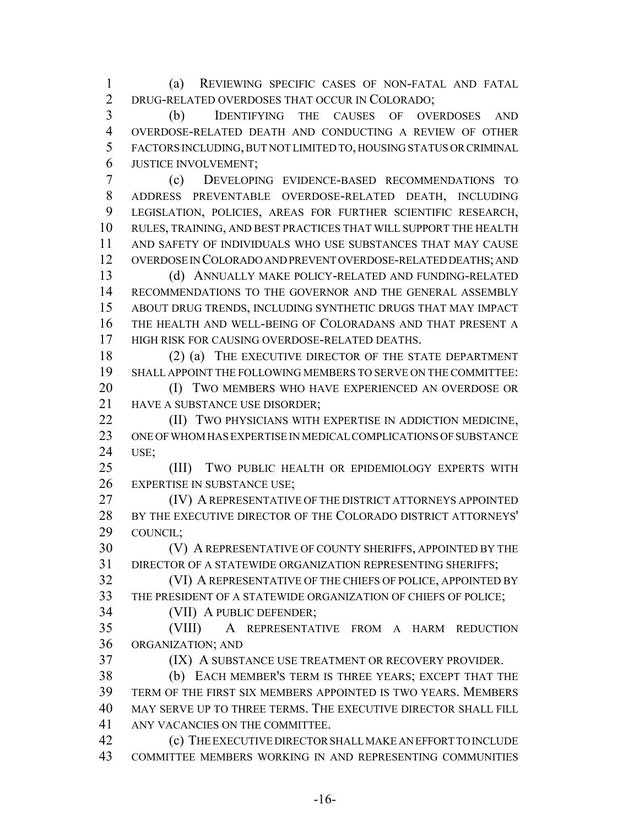(a) REVIEWING SPECIFIC CASES OF NON-FATAL AND FATAL DRUG-RELATED OVERDOSES THAT OCCUR IN COLORADO;

 (b) IDENTIFYING THE CAUSES OF OVERDOSES AND OVERDOSE-RELATED DEATH AND CONDUCTING A REVIEW OF OTHER FACTORS INCLUDING, BUT NOT LIMITED TO, HOUSING STATUS OR CRIMINAL JUSTICE INVOLVEMENT;

 (c) DEVELOPING EVIDENCE-BASED RECOMMENDATIONS TO ADDRESS PREVENTABLE OVERDOSE-RELATED DEATH, INCLUDING LEGISLATION, POLICIES, AREAS FOR FURTHER SCIENTIFIC RESEARCH, RULES, TRAINING, AND BEST PRACTICES THAT WILL SUPPORT THE HEALTH AND SAFETY OF INDIVIDUALS WHO USE SUBSTANCES THAT MAY CAUSE OVERDOSE IN COLORADO AND PREVENT OVERDOSE-RELATED DEATHS; AND

 (d) ANNUALLY MAKE POLICY-RELATED AND FUNDING-RELATED RECOMMENDATIONS TO THE GOVERNOR AND THE GENERAL ASSEMBLY ABOUT DRUG TRENDS, INCLUDING SYNTHETIC DRUGS THAT MAY IMPACT THE HEALTH AND WELL-BEING OF COLORADANS AND THAT PRESENT A HIGH RISK FOR CAUSING OVERDOSE-RELATED DEATHS.

18 (2) (a) THE EXECUTIVE DIRECTOR OF THE STATE DEPARTMENT SHALL APPOINT THE FOLLOWING MEMBERS TO SERVE ON THE COMMITTEE:

 (I) TWO MEMBERS WHO HAVE EXPERIENCED AN OVERDOSE OR 21 HAVE A SUBSTANCE USE DISORDER:

**(II) TWO PHYSICIANS WITH EXPERTISE IN ADDICTION MEDICINE,**  ONE OF WHOM HAS EXPERTISE IN MEDICAL COMPLICATIONS OF SUBSTANCE USE;

 (III) TWO PUBLIC HEALTH OR EPIDEMIOLOGY EXPERTS WITH EXPERTISE IN SUBSTANCE USE;

**(IV) A REPRESENTATIVE OF THE DISTRICT ATTORNEYS APPOINTED**  BY THE EXECUTIVE DIRECTOR OF THE COLORADO DISTRICT ATTORNEYS' COUNCIL;

 (V) A REPRESENTATIVE OF COUNTY SHERIFFS, APPOINTED BY THE DIRECTOR OF A STATEWIDE ORGANIZATION REPRESENTING SHERIFFS;

 (VI) A REPRESENTATIVE OF THE CHIEFS OF POLICE, APPOINTED BY THE PRESIDENT OF A STATEWIDE ORGANIZATION OF CHIEFS OF POLICE;

(VII) A PUBLIC DEFENDER;

 (VIII) A REPRESENTATIVE FROM A HARM REDUCTION ORGANIZATION; AND

(IX) A SUBSTANCE USE TREATMENT OR RECOVERY PROVIDER.

 (b) EACH MEMBER'S TERM IS THREE YEARS; EXCEPT THAT THE TERM OF THE FIRST SIX MEMBERS APPOINTED IS TWO YEARS. MEMBERS MAY SERVE UP TO THREE TERMS. THE EXECUTIVE DIRECTOR SHALL FILL ANY VACANCIES ON THE COMMITTEE.

 (c) THE EXECUTIVE DIRECTOR SHALL MAKE AN EFFORT TO INCLUDE COMMITTEE MEMBERS WORKING IN AND REPRESENTING COMMUNITIES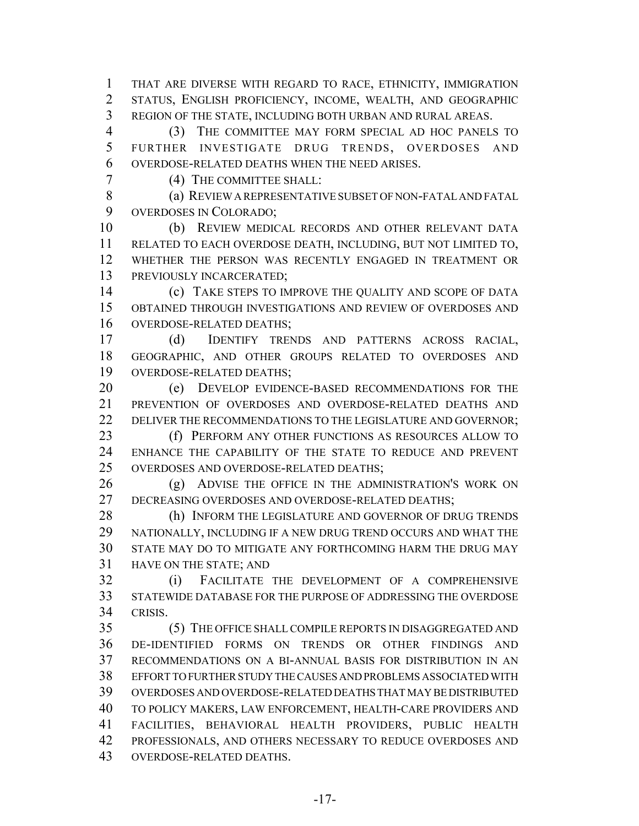THAT ARE DIVERSE WITH REGARD TO RACE, ETHNICITY, IMMIGRATION STATUS, ENGLISH PROFICIENCY, INCOME, WEALTH, AND GEOGRAPHIC REGION OF THE STATE, INCLUDING BOTH URBAN AND RURAL AREAS.

 (3) THE COMMITTEE MAY FORM SPECIAL AD HOC PANELS TO FURTHER INVESTIGATE DRUG TRENDS, OVERDOSES AND OVERDOSE-RELATED DEATHS WHEN THE NEED ARISES.

(4) THE COMMITTEE SHALL:

 (a) REVIEW A REPRESENTATIVE SUBSET OF NON-FATAL AND FATAL OVERDOSES IN COLORADO;

 (b) REVIEW MEDICAL RECORDS AND OTHER RELEVANT DATA RELATED TO EACH OVERDOSE DEATH, INCLUDING, BUT NOT LIMITED TO, WHETHER THE PERSON WAS RECENTLY ENGAGED IN TREATMENT OR PREVIOUSLY INCARCERATED;

 (c) TAKE STEPS TO IMPROVE THE QUALITY AND SCOPE OF DATA OBTAINED THROUGH INVESTIGATIONS AND REVIEW OF OVERDOSES AND OVERDOSE-RELATED DEATHS;

 (d) IDENTIFY TRENDS AND PATTERNS ACROSS RACIAL, GEOGRAPHIC, AND OTHER GROUPS RELATED TO OVERDOSES AND OVERDOSE-RELATED DEATHS;

 (e) DEVELOP EVIDENCE-BASED RECOMMENDATIONS FOR THE PREVENTION OF OVERDOSES AND OVERDOSE-RELATED DEATHS AND 22 DELIVER THE RECOMMENDATIONS TO THE LEGISLATURE AND GOVERNOR;

 (f) PERFORM ANY OTHER FUNCTIONS AS RESOURCES ALLOW TO ENHANCE THE CAPABILITY OF THE STATE TO REDUCE AND PREVENT OVERDOSES AND OVERDOSE-RELATED DEATHS;

26 (g) ADVISE THE OFFICE IN THE ADMINISTRATION'S WORK ON DECREASING OVERDOSES AND OVERDOSE-RELATED DEATHS;

28 (h) INFORM THE LEGISLATURE AND GOVERNOR OF DRUG TRENDS NATIONALLY, INCLUDING IF A NEW DRUG TREND OCCURS AND WHAT THE STATE MAY DO TO MITIGATE ANY FORTHCOMING HARM THE DRUG MAY HAVE ON THE STATE; AND

 (i) FACILITATE THE DEVELOPMENT OF A COMPREHENSIVE STATEWIDE DATABASE FOR THE PURPOSE OF ADDRESSING THE OVERDOSE CRISIS.

 (5) THE OFFICE SHALL COMPILE REPORTS IN DISAGGREGATED AND DE-IDENTIFIED FORMS ON TRENDS OR OTHER FINDINGS AND RECOMMENDATIONS ON A BI-ANNUAL BASIS FOR DISTRIBUTION IN AN EFFORT TO FURTHER STUDY THE CAUSES AND PROBLEMS ASSOCIATED WITH OVERDOSES AND OVERDOSE-RELATED DEATHS THAT MAY BE DISTRIBUTED TO POLICY MAKERS, LAW ENFORCEMENT, HEALTH-CARE PROVIDERS AND FACILITIES, BEHAVIORAL HEALTH PROVIDERS, PUBLIC HEALTH 42 PROFESSIONALS, AND OTHERS NECESSARY TO REDUCE OVERDOSES AND OVERDOSE-RELATED DEATHS.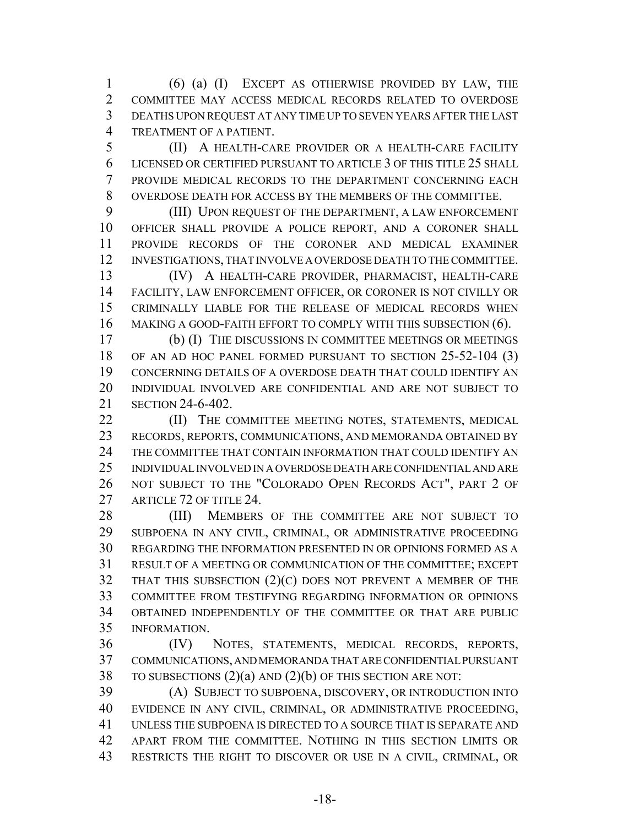(6) (a) (I) EXCEPT AS OTHERWISE PROVIDED BY LAW, THE COMMITTEE MAY ACCESS MEDICAL RECORDS RELATED TO OVERDOSE DEATHS UPON REQUEST AT ANY TIME UP TO SEVEN YEARS AFTER THE LAST TREATMENT OF A PATIENT.

 (II) A HEALTH-CARE PROVIDER OR A HEALTH-CARE FACILITY LICENSED OR CERTIFIED PURSUANT TO ARTICLE 3 OF THIS TITLE 25 SHALL PROVIDE MEDICAL RECORDS TO THE DEPARTMENT CONCERNING EACH OVERDOSE DEATH FOR ACCESS BY THE MEMBERS OF THE COMMITTEE.

 (III) UPON REQUEST OF THE DEPARTMENT, A LAW ENFORCEMENT OFFICER SHALL PROVIDE A POLICE REPORT, AND A CORONER SHALL PROVIDE RECORDS OF THE CORONER AND MEDICAL EXAMINER INVESTIGATIONS, THAT INVOLVE A OVERDOSE DEATH TO THE COMMITTEE.

 (IV) A HEALTH-CARE PROVIDER, PHARMACIST, HEALTH-CARE FACILITY, LAW ENFORCEMENT OFFICER, OR CORONER IS NOT CIVILLY OR CRIMINALLY LIABLE FOR THE RELEASE OF MEDICAL RECORDS WHEN 16 MAKING A GOOD-FAITH EFFORT TO COMPLY WITH THIS SUBSECTION (6).

 (b) (I) THE DISCUSSIONS IN COMMITTEE MEETINGS OR MEETINGS 18 OF AN AD HOC PANEL FORMED PURSUANT TO SECTION 25-52-104 (3) CONCERNING DETAILS OF A OVERDOSE DEATH THAT COULD IDENTIFY AN INDIVIDUAL INVOLVED ARE CONFIDENTIAL AND ARE NOT SUBJECT TO SECTION 24-6-402.

**(II)** THE COMMITTEE MEETING NOTES, STATEMENTS, MEDICAL RECORDS, REPORTS, COMMUNICATIONS, AND MEMORANDA OBTAINED BY THE COMMITTEE THAT CONTAIN INFORMATION THAT COULD IDENTIFY AN INDIVIDUAL INVOLVED IN A OVERDOSE DEATH ARE CONFIDENTIAL AND ARE NOT SUBJECT TO THE "COLORADO OPEN RECORDS ACT", PART 2 OF 27 ARTICLE 72 OF TITLE 24.

28 (III) MEMBERS OF THE COMMITTEE ARE NOT SUBJECT TO SUBPOENA IN ANY CIVIL, CRIMINAL, OR ADMINISTRATIVE PROCEEDING REGARDING THE INFORMATION PRESENTED IN OR OPINIONS FORMED AS A RESULT OF A MEETING OR COMMUNICATION OF THE COMMITTEE; EXCEPT THAT THIS SUBSECTION (2)(C) DOES NOT PREVENT A MEMBER OF THE COMMITTEE FROM TESTIFYING REGARDING INFORMATION OR OPINIONS OBTAINED INDEPENDENTLY OF THE COMMITTEE OR THAT ARE PUBLIC INFORMATION.

 (IV) NOTES, STATEMENTS, MEDICAL RECORDS, REPORTS, COMMUNICATIONS, AND MEMORANDA THAT ARE CONFIDENTIAL PURSUANT 38 TO SUBSECTIONS  $(2)(a)$  AND  $(2)(b)$  OF THIS SECTION ARE NOT:

 (A) SUBJECT TO SUBPOENA, DISCOVERY, OR INTRODUCTION INTO EVIDENCE IN ANY CIVIL, CRIMINAL, OR ADMINISTRATIVE PROCEEDING, UNLESS THE SUBPOENA IS DIRECTED TO A SOURCE THAT IS SEPARATE AND APART FROM THE COMMITTEE. NOTHING IN THIS SECTION LIMITS OR RESTRICTS THE RIGHT TO DISCOVER OR USE IN A CIVIL, CRIMINAL, OR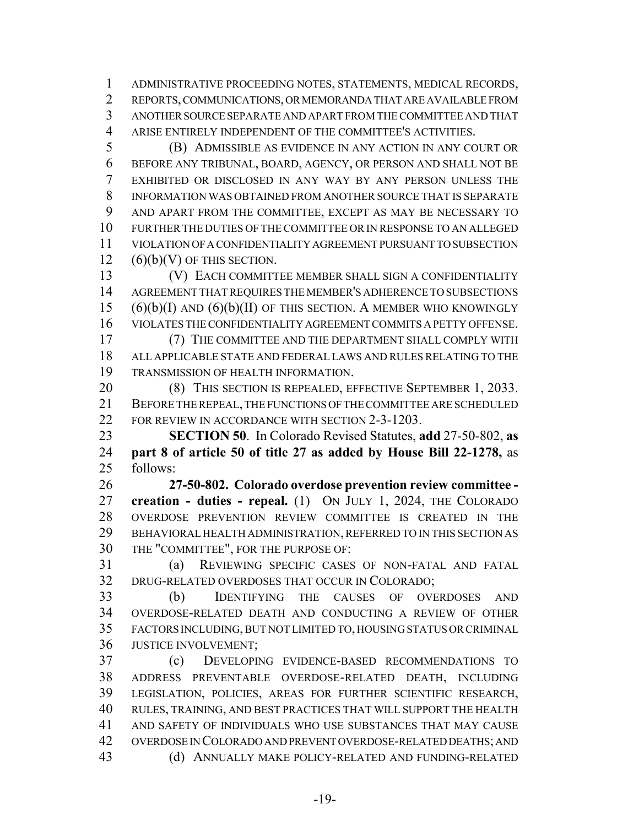ADMINISTRATIVE PROCEEDING NOTES, STATEMENTS, MEDICAL RECORDS, REPORTS, COMMUNICATIONS, OR MEMORANDA THAT ARE AVAILABLE FROM ANOTHER SOURCE SEPARATE AND APART FROM THE COMMITTEE AND THAT ARISE ENTIRELY INDEPENDENT OF THE COMMITTEE'S ACTIVITIES.

 (B) ADMISSIBLE AS EVIDENCE IN ANY ACTION IN ANY COURT OR BEFORE ANY TRIBUNAL, BOARD, AGENCY, OR PERSON AND SHALL NOT BE EXHIBITED OR DISCLOSED IN ANY WAY BY ANY PERSON UNLESS THE INFORMATION WAS OBTAINED FROM ANOTHER SOURCE THAT IS SEPARATE AND APART FROM THE COMMITTEE, EXCEPT AS MAY BE NECESSARY TO FURTHER THE DUTIES OF THE COMMITTEE OR IN RESPONSE TO AN ALLEGED VIOLATION OF A CONFIDENTIALITY AGREEMENT PURSUANT TO SUBSECTION (6)(b)(V) OF THIS SECTION.

 (V) EACH COMMITTEE MEMBER SHALL SIGN A CONFIDENTIALITY AGREEMENT THAT REQUIRES THE MEMBER'S ADHERENCE TO SUBSECTIONS  $(6)(b)(I)$  AND  $(6)(b)(II)$  OF THIS SECTION. A MEMBER WHO KNOWINGLY VIOLATES THE CONFIDENTIALITY AGREEMENT COMMITS A PETTY OFFENSE.

 (7) THE COMMITTEE AND THE DEPARTMENT SHALL COMPLY WITH ALL APPLICABLE STATE AND FEDERAL LAWS AND RULES RELATING TO THE TRANSMISSION OF HEALTH INFORMATION.

20 (8) THIS SECTION IS REPEALED, EFFECTIVE SEPTEMBER 1, 2033. BEFORE THE REPEAL, THE FUNCTIONS OF THE COMMITTEE ARE SCHEDULED 22 FOR REVIEW IN ACCORDANCE WITH SECTION 2-3-1203.

 **SECTION 50**. In Colorado Revised Statutes, **add** 27-50-802, **as part 8 of article 50 of title 27 as added by House Bill 22-1278,** as follows:

 **27-50-802. Colorado overdose prevention review committee - creation - duties - repeal.** (1) ON JULY 1, 2024, THE COLORADO OVERDOSE PREVENTION REVIEW COMMITTEE IS CREATED IN THE BEHAVIORAL HEALTH ADMINISTRATION, REFERRED TO IN THIS SECTION AS THE "COMMITTEE", FOR THE PURPOSE OF:

 (a) REVIEWING SPECIFIC CASES OF NON-FATAL AND FATAL DRUG-RELATED OVERDOSES THAT OCCUR IN COLORADO;

 (b) IDENTIFYING THE CAUSES OF OVERDOSES AND OVERDOSE-RELATED DEATH AND CONDUCTING A REVIEW OF OTHER FACTORS INCLUDING, BUT NOT LIMITED TO, HOUSING STATUS OR CRIMINAL JUSTICE INVOLVEMENT;

 (c) DEVELOPING EVIDENCE-BASED RECOMMENDATIONS TO ADDRESS PREVENTABLE OVERDOSE-RELATED DEATH, INCLUDING LEGISLATION, POLICIES, AREAS FOR FURTHER SCIENTIFIC RESEARCH, RULES, TRAINING, AND BEST PRACTICES THAT WILL SUPPORT THE HEALTH AND SAFETY OF INDIVIDUALS WHO USE SUBSTANCES THAT MAY CAUSE OVERDOSE IN COLORADO AND PREVENT OVERDOSE-RELATED DEATHS; AND (d) ANNUALLY MAKE POLICY-RELATED AND FUNDING-RELATED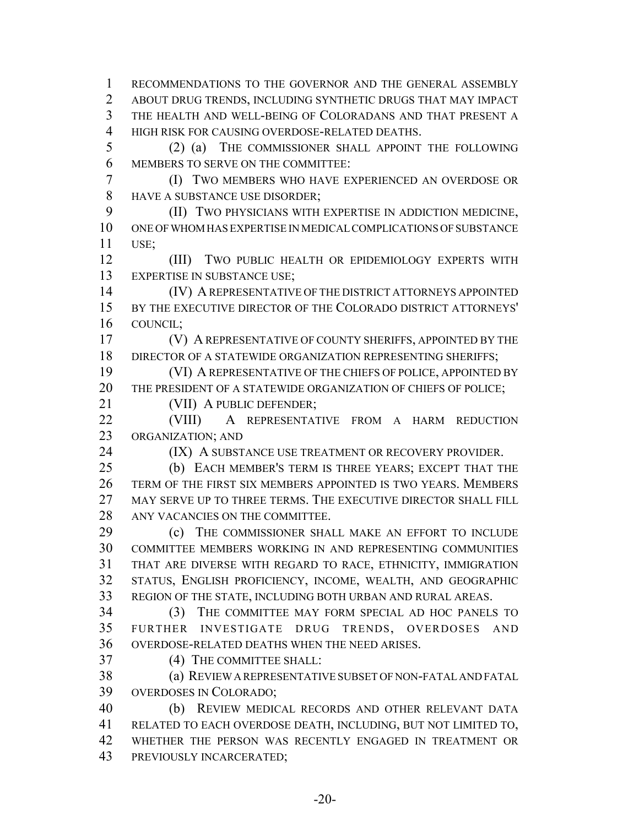RECOMMENDATIONS TO THE GOVERNOR AND THE GENERAL ASSEMBLY ABOUT DRUG TRENDS, INCLUDING SYNTHETIC DRUGS THAT MAY IMPACT THE HEALTH AND WELL-BEING OF COLORADANS AND THAT PRESENT A HIGH RISK FOR CAUSING OVERDOSE-RELATED DEATHS. (2) (a) THE COMMISSIONER SHALL APPOINT THE FOLLOWING MEMBERS TO SERVE ON THE COMMITTEE: (I) TWO MEMBERS WHO HAVE EXPERIENCED AN OVERDOSE OR HAVE A SUBSTANCE USE DISORDER; (II) TWO PHYSICIANS WITH EXPERTISE IN ADDICTION MEDICINE, ONE OF WHOM HAS EXPERTISE IN MEDICAL COMPLICATIONS OF SUBSTANCE

USE;

 (III) TWO PUBLIC HEALTH OR EPIDEMIOLOGY EXPERTS WITH EXPERTISE IN SUBSTANCE USE;

 (IV) A REPRESENTATIVE OF THE DISTRICT ATTORNEYS APPOINTED BY THE EXECUTIVE DIRECTOR OF THE COLORADO DISTRICT ATTORNEYS' COUNCIL;

 (V) A REPRESENTATIVE OF COUNTY SHERIFFS, APPOINTED BY THE 18 DIRECTOR OF A STATEWIDE ORGANIZATION REPRESENTING SHERIFFS;

 (VI) A REPRESENTATIVE OF THE CHIEFS OF POLICE, APPOINTED BY THE PRESIDENT OF A STATEWIDE ORGANIZATION OF CHIEFS OF POLICE;

(VII) A PUBLIC DEFENDER;

 (VIII) A REPRESENTATIVE FROM A HARM REDUCTION ORGANIZATION; AND

24 (IX) A SUBSTANCE USE TREATMENT OR RECOVERY PROVIDER.

 (b) EACH MEMBER'S TERM IS THREE YEARS; EXCEPT THAT THE TERM OF THE FIRST SIX MEMBERS APPOINTED IS TWO YEARS. MEMBERS MAY SERVE UP TO THREE TERMS. THE EXECUTIVE DIRECTOR SHALL FILL ANY VACANCIES ON THE COMMITTEE.

 (c) THE COMMISSIONER SHALL MAKE AN EFFORT TO INCLUDE COMMITTEE MEMBERS WORKING IN AND REPRESENTING COMMUNITIES THAT ARE DIVERSE WITH REGARD TO RACE, ETHNICITY, IMMIGRATION STATUS, ENGLISH PROFICIENCY, INCOME, WEALTH, AND GEOGRAPHIC REGION OF THE STATE, INCLUDING BOTH URBAN AND RURAL AREAS.

 (3) THE COMMITTEE MAY FORM SPECIAL AD HOC PANELS TO FURTHER INVESTIGATE DRUG TRENDS, OVERDOSES AND OVERDOSE-RELATED DEATHS WHEN THE NEED ARISES.

(4) THE COMMITTEE SHALL:

 (a) REVIEW A REPRESENTATIVE SUBSET OF NON-FATAL AND FATAL OVERDOSES IN COLORADO;

 (b) REVIEW MEDICAL RECORDS AND OTHER RELEVANT DATA RELATED TO EACH OVERDOSE DEATH, INCLUDING, BUT NOT LIMITED TO, WHETHER THE PERSON WAS RECENTLY ENGAGED IN TREATMENT OR PREVIOUSLY INCARCERATED;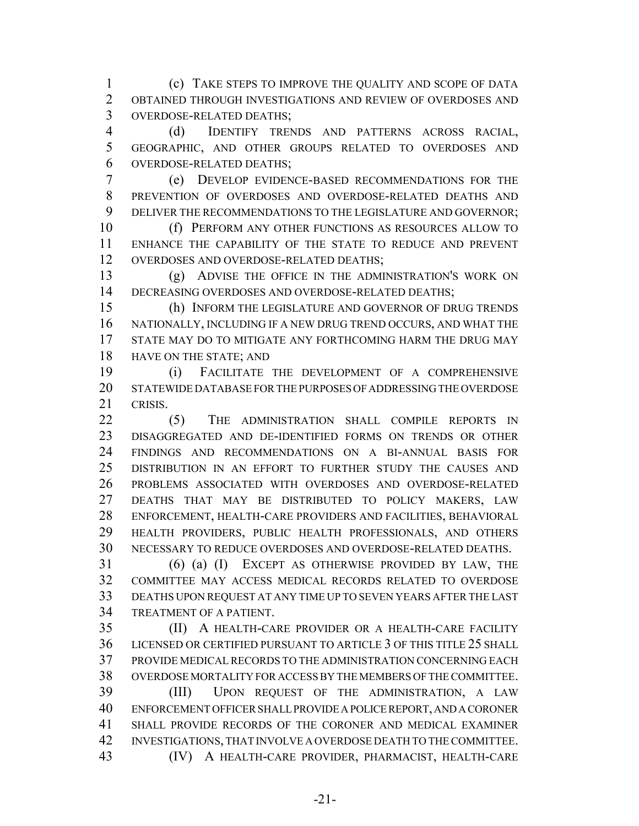(c) TAKE STEPS TO IMPROVE THE QUALITY AND SCOPE OF DATA OBTAINED THROUGH INVESTIGATIONS AND REVIEW OF OVERDOSES AND OVERDOSE-RELATED DEATHS;

 (d) IDENTIFY TRENDS AND PATTERNS ACROSS RACIAL, GEOGRAPHIC, AND OTHER GROUPS RELATED TO OVERDOSES AND OVERDOSE-RELATED DEATHS;

 (e) DEVELOP EVIDENCE-BASED RECOMMENDATIONS FOR THE PREVENTION OF OVERDOSES AND OVERDOSE-RELATED DEATHS AND 9 DELIVER THE RECOMMENDATIONS TO THE LEGISLATURE AND GOVERNOR;

 (f) PERFORM ANY OTHER FUNCTIONS AS RESOURCES ALLOW TO ENHANCE THE CAPABILITY OF THE STATE TO REDUCE AND PREVENT OVERDOSES AND OVERDOSE-RELATED DEATHS;

 (g) ADVISE THE OFFICE IN THE ADMINISTRATION'S WORK ON 14 DECREASING OVERDOSES AND OVERDOSE-RELATED DEATHS;

 (h) INFORM THE LEGISLATURE AND GOVERNOR OF DRUG TRENDS NATIONALLY, INCLUDING IF A NEW DRUG TREND OCCURS, AND WHAT THE STATE MAY DO TO MITIGATE ANY FORTHCOMING HARM THE DRUG MAY HAVE ON THE STATE; AND

 (i) FACILITATE THE DEVELOPMENT OF A COMPREHENSIVE STATEWIDE DATABASE FOR THE PURPOSES OF ADDRESSING THE OVERDOSE CRISIS.

 (5) THE ADMINISTRATION SHALL COMPILE REPORTS IN DISAGGREGATED AND DE-IDENTIFIED FORMS ON TRENDS OR OTHER FINDINGS AND RECOMMENDATIONS ON A BI-ANNUAL BASIS FOR DISTRIBUTION IN AN EFFORT TO FURTHER STUDY THE CAUSES AND PROBLEMS ASSOCIATED WITH OVERDOSES AND OVERDOSE-RELATED DEATHS THAT MAY BE DISTRIBUTED TO POLICY MAKERS, LAW ENFORCEMENT, HEALTH-CARE PROVIDERS AND FACILITIES, BEHAVIORAL HEALTH PROVIDERS, PUBLIC HEALTH PROFESSIONALS, AND OTHERS NECESSARY TO REDUCE OVERDOSES AND OVERDOSE-RELATED DEATHS.

 (6) (a) (I) EXCEPT AS OTHERWISE PROVIDED BY LAW, THE COMMITTEE MAY ACCESS MEDICAL RECORDS RELATED TO OVERDOSE DEATHS UPON REQUEST AT ANY TIME UP TO SEVEN YEARS AFTER THE LAST TREATMENT OF A PATIENT.

 (II) A HEALTH-CARE PROVIDER OR A HEALTH-CARE FACILITY LICENSED OR CERTIFIED PURSUANT TO ARTICLE 3 OF THIS TITLE 25 SHALL PROVIDE MEDICAL RECORDS TO THE ADMINISTRATION CONCERNING EACH OVERDOSE MORTALITY FOR ACCESS BY THE MEMBERS OF THE COMMITTEE.

 (III) UPON REQUEST OF THE ADMINISTRATION, A LAW ENFORCEMENT OFFICER SHALL PROVIDE A POLICE REPORT, AND A CORONER SHALL PROVIDE RECORDS OF THE CORONER AND MEDICAL EXAMINER INVESTIGATIONS, THAT INVOLVE A OVERDOSE DEATH TO THE COMMITTEE. (IV) A HEALTH-CARE PROVIDER, PHARMACIST, HEALTH-CARE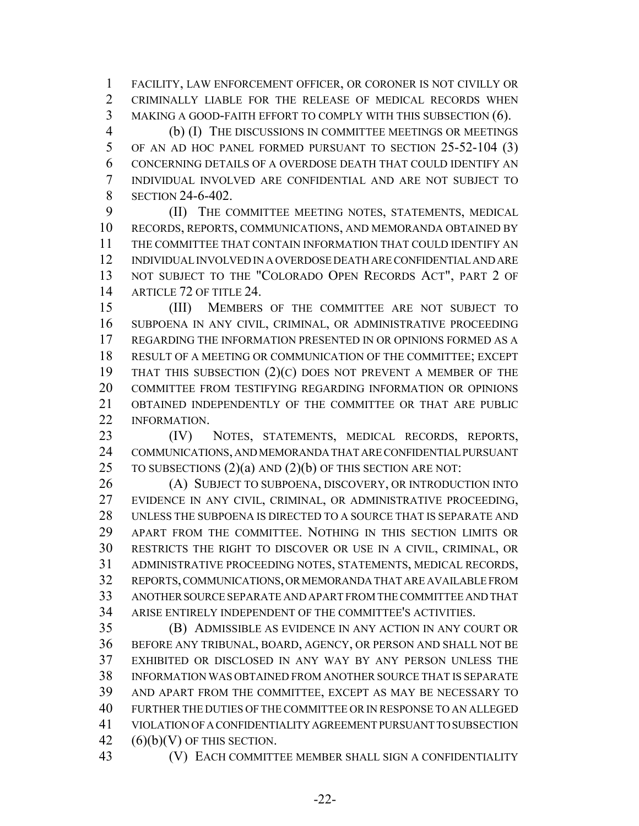FACILITY, LAW ENFORCEMENT OFFICER, OR CORONER IS NOT CIVILLY OR CRIMINALLY LIABLE FOR THE RELEASE OF MEDICAL RECORDS WHEN MAKING A GOOD-FAITH EFFORT TO COMPLY WITH THIS SUBSECTION (6).

 (b) (I) THE DISCUSSIONS IN COMMITTEE MEETINGS OR MEETINGS OF AN AD HOC PANEL FORMED PURSUANT TO SECTION 25-52-104 (3) CONCERNING DETAILS OF A OVERDOSE DEATH THAT COULD IDENTIFY AN INDIVIDUAL INVOLVED ARE CONFIDENTIAL AND ARE NOT SUBJECT TO 8 SECTION 24-6-402.

 (II) THE COMMITTEE MEETING NOTES, STATEMENTS, MEDICAL RECORDS, REPORTS, COMMUNICATIONS, AND MEMORANDA OBTAINED BY THE COMMITTEE THAT CONTAIN INFORMATION THAT COULD IDENTIFY AN INDIVIDUAL INVOLVED IN A OVERDOSE DEATH ARE CONFIDENTIAL AND ARE NOT SUBJECT TO THE "COLORADO OPEN RECORDS ACT", PART 2 OF 14 ARTICLE 72 OF TITLE 24.

 (III) MEMBERS OF THE COMMITTEE ARE NOT SUBJECT TO SUBPOENA IN ANY CIVIL, CRIMINAL, OR ADMINISTRATIVE PROCEEDING REGARDING THE INFORMATION PRESENTED IN OR OPINIONS FORMED AS A RESULT OF A MEETING OR COMMUNICATION OF THE COMMITTEE; EXCEPT THAT THIS SUBSECTION (2)(C) DOES NOT PREVENT A MEMBER OF THE COMMITTEE FROM TESTIFYING REGARDING INFORMATION OR OPINIONS OBTAINED INDEPENDENTLY OF THE COMMITTEE OR THAT ARE PUBLIC INFORMATION.

 (IV) NOTES, STATEMENTS, MEDICAL RECORDS, REPORTS, COMMUNICATIONS, AND MEMORANDA THAT ARE CONFIDENTIAL PURSUANT 25 TO SUBSECTIONS  $(2)(a)$  AND  $(2)(b)$  OF THIS SECTION ARE NOT:

 (A) SUBJECT TO SUBPOENA, DISCOVERY, OR INTRODUCTION INTO EVIDENCE IN ANY CIVIL, CRIMINAL, OR ADMINISTRATIVE PROCEEDING, UNLESS THE SUBPOENA IS DIRECTED TO A SOURCE THAT IS SEPARATE AND APART FROM THE COMMITTEE. NOTHING IN THIS SECTION LIMITS OR RESTRICTS THE RIGHT TO DISCOVER OR USE IN A CIVIL, CRIMINAL, OR ADMINISTRATIVE PROCEEDING NOTES, STATEMENTS, MEDICAL RECORDS, REPORTS, COMMUNICATIONS, OR MEMORANDA THAT ARE AVAILABLE FROM ANOTHER SOURCE SEPARATE AND APART FROM THE COMMITTEE AND THAT ARISE ENTIRELY INDEPENDENT OF THE COMMITTEE'S ACTIVITIES.

 (B) ADMISSIBLE AS EVIDENCE IN ANY ACTION IN ANY COURT OR BEFORE ANY TRIBUNAL, BOARD, AGENCY, OR PERSON AND SHALL NOT BE EXHIBITED OR DISCLOSED IN ANY WAY BY ANY PERSON UNLESS THE INFORMATION WAS OBTAINED FROM ANOTHER SOURCE THAT IS SEPARATE AND APART FROM THE COMMITTEE, EXCEPT AS MAY BE NECESSARY TO FURTHER THE DUTIES OF THE COMMITTEE OR IN RESPONSE TO AN ALLEGED VIOLATION OF A CONFIDENTIALITY AGREEMENT PURSUANT TO SUBSECTION  $(6)(b)(V)$  OF THIS SECTION.

(V) EACH COMMITTEE MEMBER SHALL SIGN A CONFIDENTIALITY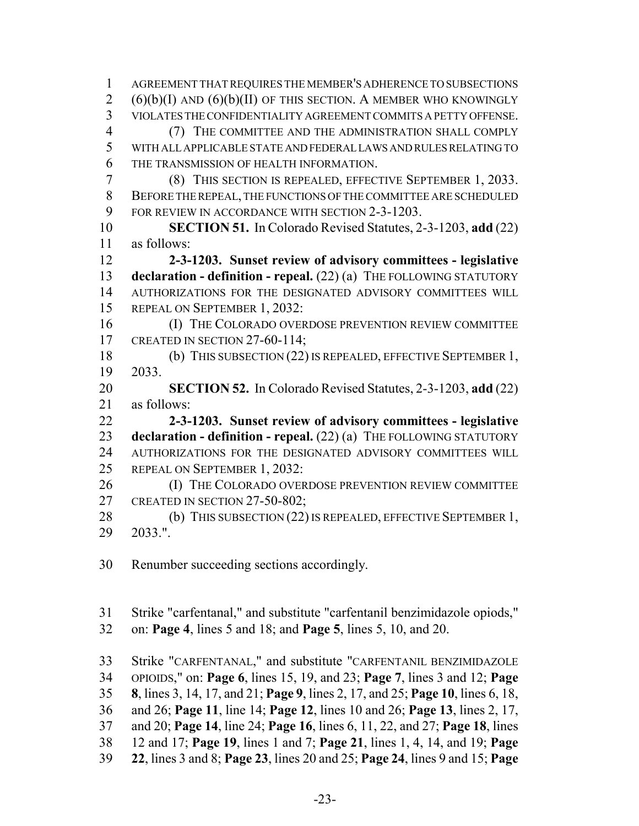AGREEMENT THAT REQUIRES THE MEMBER'S ADHERENCE TO SUBSECTIONS  $(6)(b)(I)$  AND  $(6)(b)(II)$  OF THIS SECTION. A MEMBER WHO KNOWINGLY VIOLATES THE CONFIDENTIALITY AGREEMENT COMMITS A PETTY OFFENSE. (7) THE COMMITTEE AND THE ADMINISTRATION SHALL COMPLY WITH ALL APPLICABLE STATE AND FEDERAL LAWS AND RULES RELATING TO THE TRANSMISSION OF HEALTH INFORMATION. (8) THIS SECTION IS REPEALED, EFFECTIVE SEPTEMBER 1, 2033. BEFORE THE REPEAL, THE FUNCTIONS OF THE COMMITTEE ARE SCHEDULED FOR REVIEW IN ACCORDANCE WITH SECTION 2-3-1203. **SECTION 51.** In Colorado Revised Statutes, 2-3-1203, **add** (22) as follows: **2-3-1203. Sunset review of advisory committees - legislative declaration - definition - repeal.** (22) (a) THE FOLLOWING STATUTORY AUTHORIZATIONS FOR THE DESIGNATED ADVISORY COMMITTEES WILL REPEAL ON SEPTEMBER 1, 2032: 16 (I) THE COLORADO OVERDOSE PREVENTION REVIEW COMMITTEE 17 CREATED IN SECTION 27-60-114; (b) THIS SUBSECTION (22) IS REPEALED, EFFECTIVE SEPTEMBER 1, 2033. **SECTION 52.** In Colorado Revised Statutes, 2-3-1203, **add** (22) as follows: **2-3-1203. Sunset review of advisory committees - legislative declaration - definition - repeal.** (22) (a) THE FOLLOWING STATUTORY AUTHORIZATIONS FOR THE DESIGNATED ADVISORY COMMITTEES WILL REPEAL ON SEPTEMBER 1, 2032: **(I) THE COLORADO OVERDOSE PREVENTION REVIEW COMMITTEE** 27 CREATED IN SECTION 27-50-802: 28 (b) THIS SUBSECTION (22) IS REPEALED, EFFECTIVE SEPTEMBER 1, 2033.". Renumber succeeding sections accordingly. Strike "carfentanal," and substitute "carfentanil benzimidazole opiods," on: **Page 4**, lines 5 and 18; and **Page 5**, lines 5, 10, and 20. Strike "CARFENTANAL," and substitute "CARFENTANIL BENZIMIDAZOLE OPIOIDS," on: **Page 6**, lines 15, 19, and 23; **Page 7**, lines 3 and 12; **Page 8**, lines 3, 14, 17, and 21; **Page 9**, lines 2, 17, and 25; **Page 10**, lines 6, 18, and 26; **Page 11**, line 14; **Page 12**, lines 10 and 26; **Page 13**, lines 2, 17, and 20; **Page 14**, line 24; **Page 16**, lines 6, 11, 22, and 27; **Page 18**, lines

- 12 and 17; **Page 19**, lines 1 and 7; **Page 21**, lines 1, 4, 14, and 19; **Page**
- **22**, lines 3 and 8; **Page 23**, lines 20 and 25; **Page 24**, lines 9 and 15; **Page**